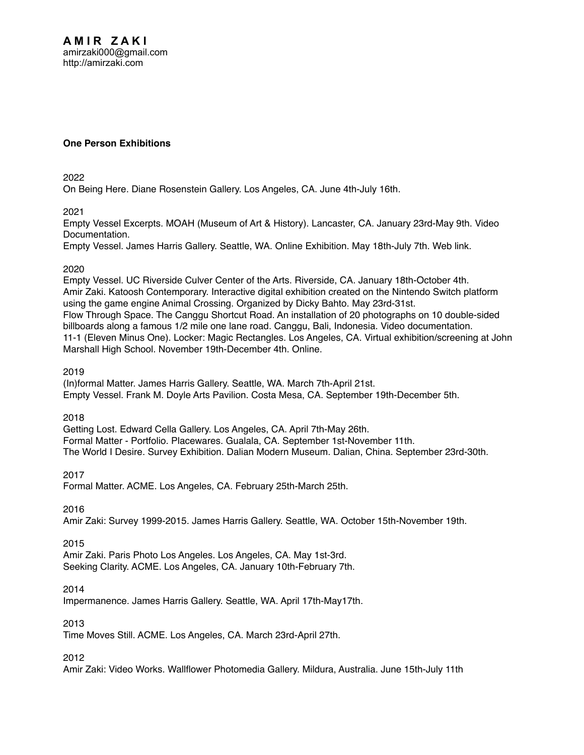# **One Person Exhibitions**

2022

[On Being Here. Diane Rosenstein Gallery. Los Angeles, CA. June 4th-July 16th.](http://amirzaki.net/cv/Bib_I-A38.pdf) 

2021

[Empty Vessel Excerpts. MOAH \(Museum of Art & History\). Lancaster, CA. January 23rd-May 9th.](http://amirzaki.net/cv/Bib_I-A36.pdf) [Video](https://www.youtube.com/watch?v=mxkQxdv_tfA)  [Documentation.](https://www.youtube.com/watch?v=mxkQxdv_tfA)

[Empty Vessel. James Harris Gallery. Seattle, WA. Online Exhibition. May 18th-July 7th.](http://amirzaki.net/cv/Bib_I-A37.pdf) [Web link.](https://jamesharrisgallery.com/exhibitions/amir-zaki-empty-vessel)

# 2020

[Empty Vessel. UC Riverside Culver Center of the Arts. Riverside, CA. January 18th-October 4th.](http://amirzaki.net/cv/Bib_I-A32.pdf)  [Amir Zaki. Katoosh Contemporary. Interactive digital exhibition created on the Nintendo Switch platform](http://amirzaki.net/cv/Bib_I-A33.pdf)  [using the game engine Animal Crossing. Organized by Dicky Bahto. May 23rd-31st.](http://amirzaki.net/cv/Bib_I-A33.pdf)  [Flow Through Space. The Canggu Shortcut Road. An installation of 20 photographs on 10 double-sided](http://amirzaki.net/cv/Bib_I-A34.pdf)  [billboards along a famous 1/2 mile one lane road. Canggu, Bali, Indonesia.](http://amirzaki.net/cv/Bib_I-A34.pdf) [Video documentation.](https://youtu.be/2lNoRMqM4Mo) [11-1 \(Eleven Minus One\). Locker: Magic Rectangles. Los Angeles, CA. Virtual exhibition/screening at John](http://amirzaki.net/cv/Bib_I-A35.pdf)  [Marshall High School. November 19th-December 4th.](http://amirzaki.net/cv/Bib_I-A35.pdf) [Online](http://www.justlocker.com/).

2019

[\(In\)formal Matter. James Harris Gallery. Seattle, WA. March 7th-April 21st.](http://amirzaki.net/cv/Bib_I-A30.pdf)  [Empty Vessel. Frank M. Doyle Arts Pavilion. Costa Mesa, CA. September 19th-December 5th.](http://amirzaki.net/cv/Bib_I-A31.pdf)

2018

[Getting Lost. Edward Cella Gallery. Los Angeles, CA. April 7th-May 26th.](http://amirzaki.net/cv/Bib_I-A27.pdf) [Formal Matter - Portfolio. Placewares. Gualala, CA. September 1st-November 11th.](http://amirzaki.net/cv/Bib_I-A28.pdf) [The World I Desire. Survey Exhibition. Dalian Modern Museum. Dalian, China. September 23rd-30th.](http://amirzaki.net/cv/Bib_I-A29.pdf)

2017

[Formal Matter. ACME. Los Angeles, CA. February 25th-March 25th.](http://amirzaki.net/cv/Bib_I-A26.pdf)

2016

[Amir Zaki: Survey 1999-2015. James Harris Gallery. Seattle, WA. October 15th-November 19th.](http://amirzaki.net/cv/Bib_I-A25.pdf)

2015

[Amir Zaki. Paris Photo Los Angeles. Los Angeles, CA. May 1st-3rd.](http://amirzaki.net/cv/Bib_I-A24.pdf)  [Seeking Clarity. ACME. Los Angeles, CA. January 10th-February 7th.](http://amirzaki.net/cv/Bib_I-A23.pdf) 

2014

[Impermanence. James Harris Gallery. Seattle, WA. April 17th-May17th.](http://amirzaki.net/cv/Bib_I-A22.pdf)

2013

[Time Moves Still. ACME. Los Angeles, CA. March 23rd-April 27th.](http://amirzaki.net/cv/Bib_I-A21.pdf)

2012

[Amir Zaki: Video Works. Wallflower Photomedia Gallery. Mildura, Australia. June 15th-July 11th](http://amirzaki.net/cv/Bib_I-A20.pdf)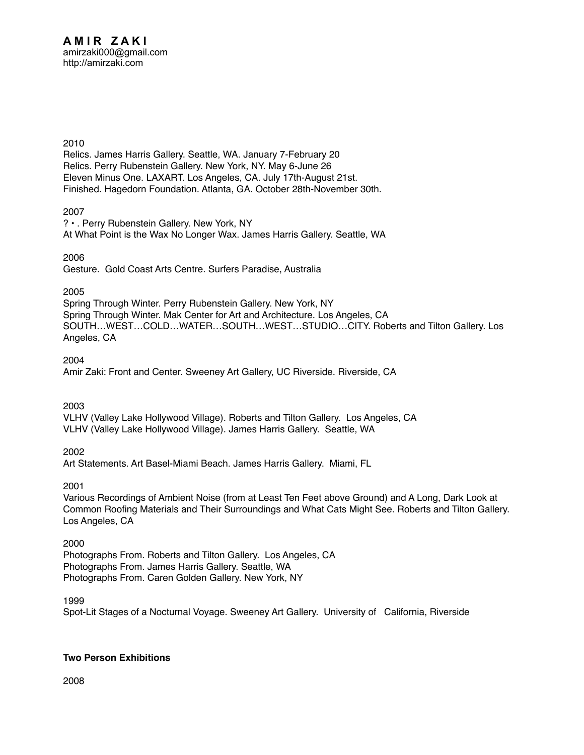#### 2010

[Relics. James Harris Gallery. Seattle, WA. January 7-February 20](http://amirzaki.net/cv/Bib_I-A16.pdf) [Relics. Perry Rubenstein Gallery. New York, NY. May 6-June 26](http://amirzaki.net/cv/Bib_I-A17.pdf) [Eleven Minus One. LAXART. Los Angeles, CA. July 17th-August 21st.](http://amirzaki.net/cv/Bib_I-A18.pdf) [Finished. Hagedorn Foundation. Atlanta, GA. October 28th-November 30th.](http://amirzaki.net/cv/Bib_I-A19.pdf) 

2007

[? • . Perry Rubenstein Gallery. New York, NY](http://amirzaki.net/cv/Bib_I-A15.pdf) [At What Point is the Wax No Longer Wax. James Harris Gallery. Seattle, WA](http://amirzaki.net/cv/Bib_I-A14.pdf)

2006

Gesture. Gold Coast Arts Centre. Surfers Paradise, Australia

## 2005

[Spring Through Winter. Perry Rubenstein Gallery. New York, NY](http://amirzaki.net/cv/Bib_I-A12.pdf) [Spring Through Winter. Mak Center for Art and Architecture. Los Angeles, CA](http://amirzaki.net/cv/Bib_I-A11.pdf) [SOUTH…WEST…COLD…WATER…SOUTH…WEST…STUDIO…CITY. Roberts and Tilton Gallery. Los](http://amirzaki.net/cv/Bib_I-A10.pdf)  [Angeles, CA](http://amirzaki.net/cv/Bib_I-A10.pdf)

2004

[Amir Zaki: Front and Center. Sweeney Art Gallery, UC Riverside. Riverside, CA](http://amirzaki.net/cv/Bib_I-A9.pdf)

2003

[VLHV \(Valley Lake Hollywood Village\). Roberts and Tilton Gallery. Los Angeles, CA](http://amirzaki.net/cv/Bib_I-A8.pdf) [VLHV \(Valley Lake Hollywood Village\). James Harris Gallery. Seattle, WA](http://amirzaki.net/cv/Bib_I-A7.pdf)

2002

Art Statements. Art Basel-Miami Beach. James Harris Gallery. Miami, FL

2001

[Various Recordings of Ambient Noise \(from at Least Ten Feet above Ground\) and A Long, Dark Look at](http://amirzaki.net/cv/Bib_I-A5.pdf)  [Common Roofing Materials and Their Surroundings and What Cats Might See. Roberts and Tilton Gallery.](http://amirzaki.net/cv/Bib_I-A5.pdf)  [Los Angeles, CA](http://amirzaki.net/cv/Bib_I-A5.pdf)

2000 [Photographs From. Roberts and Tilton Gallery. Los Angeles, CA](http://amirzaki.net/cv/Bib_I-A4.pdf)  [Photographs From. James Harris Gallery. Seattle, WA](http://amirzaki.net/cv/Bib_I-A3.pdf) [Photographs From. Caren Golden Gallery. New York, NY](http://amirzaki.net/cv/Bib_I-A2.pdf)

1999

Spot-Lit Stages of a Nocturnal Voyage. Sweeney Art Gallery. University of California, Riverside

# **Two Person Exhibitions**

2008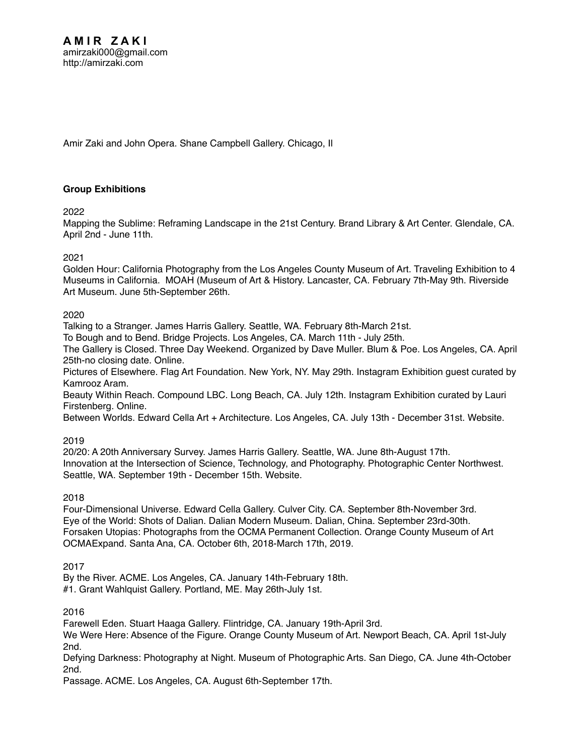[Amir Zaki and John Opera. Shane Campbell Gallery. Chicago, Il](http://amirzaki.net/cv/BIB_I-B1.pdf)

# **Group Exhibitions**

2022

[Mapping the Sublime: Reframing Landscape in the 21st Century. Brand Library & Art Center. Glendale, CA.](http://amirzaki.net/cv/Bib_I-C72.pdf)  [April 2nd - June 11th.](http://amirzaki.net/cv/Bib_I-C72.pdf)

## 2021

[Golden Hour: California Photography from the Los Angeles County Museum of Art. Traveling Exhibition to 4](http://amirzaki.net/cv/Bib_I-C71.pdf)  [Museums in California. MOAH \(Museum of Art & History. Lancaster, CA. February 7th-May 9th.](http://amirzaki.net/cv/Bib_I-C71.pdf) [Riverside](http://riversideartmuseum.org/exhibits/golden-hour-california-photography-los-angeles-county-museum-art/)  [Art Museum. June 5th-September 26th.](http://riversideartmuseum.org/exhibits/golden-hour-california-photography-los-angeles-county-museum-art/)

## 2020

[Talking to a Stranger. James Harris Gallery. Seattle, WA. February 8th-March 21st.](http://amirzaki.net/cv/Bib_I-C65.pdf)

[To Bough and to Bend. Bridge Projects. Los Angeles, CA. March 11th - July 25th.](http://amirzaki.net/cv/Bib_I-C66.pdf) 

[The Gallery is Closed. Three Day Weekend. Organized by Dave Muller. Blum & Poe. Los Angeles, CA. April](http://amirzaki.net/cv/Bib_I-C67.pdf)  [25th-no closing date.](http://amirzaki.net/cv/Bib_I-C67.pdf) [Online.](https://blumandpoe.com/broadcasts/three_day_weekend_presents_the_gallery_is_closed)

[Pictures of Elsewhere. Flag Art Foundation. New York, NY. May 29th. Instagram Exhibition guest curated by](http://amirzaki.net/cv/Bib_I-C68.pdf)  [Kamrooz Aram.](http://amirzaki.net/cv/Bib_I-C68.pdf) 

[Beauty Within Reach. Compound LBC. Long Beach, CA. July 12th. Instagram Exhibition curated by Lauri](http://amirzaki.net/cv/Bib_I-C69.pdf)  [Firstenberg.](http://amirzaki.net/cv/Bib_I-C69.pdf) [Online](https://www.instagram.com/p/CCt9QPPJlC0/).

[Between Worlds. Edward Cella Art + Architecture. Los Angeles, CA. July 13th - December 31st.](http://amirzaki.net/cv/Bib_I-C70.pdf) [Website](https://edwardcella.com/exhibition/182/installation_views/29177).

# 2019

[20/20: A 20th Anniversary Survey. James Harris Gallery. Seattle, WA. June 8th-August 17th.](http://amirzaki.net/cv/Bib_I-C63.pdf)  [Innovation at the Intersection of Science, Technology, and Photography. Photographic Center Northwest.](http://amirzaki.net/cv/Bib_I-C64.pdf)  [Seattle, WA. September 19th - December 15th.](http://amirzaki.net/cv/Bib_I-C64.pdf) [Website](http://pcnw.org/gallery/exhibitions/).

# 2018

[Four-Dimensional Universe. Edward Cella Gallery. Culver City. CA. September 8th-November 3rd.](http://amirzaki.net/cv/Bib_I-C60.pdf) [Eye of the World: Shots of Dalian. Dalian Modern Museum. Dalian, China. September 23rd-30th.](http://amirzaki.net/cv/Bib_I-C61.pdf) [Forsaken Utopias: Photographs from the OCMA Permanent Collection. Orange County Museum of Art](http://amirzaki.net/cv/Bib_I-C62.pdf)  [OCMAExpand. Santa Ana, CA. October 6th, 2018-March 17th, 2019.](http://amirzaki.net/cv/Bib_I-C62.pdf)

#### 2017

[By the River. ACME. Los Angeles, CA. January 14th-February 18th.](http://amirzaki.net/cv/Bib_I-C58.pdf)

[#1. Grant Wahlquist Gallery. Portland, ME. May 26th-July 1st.](http://amirzaki.net/cv/Bib_I-C59.pdf) 

#### 2016

[Farewell Eden. Stuart Haaga Gallery. Flintridge, CA. January 19th-April 3rd.](http://amirzaki.net/cv/Bib_I-C54.pdf) 

[We Were Here: Absence of the Figure. Orange County Museum of Art. Newport Beach, CA. April 1st-July](http://amirzaki.net/cv/Bib_I-C55.pdf)  [2nd.](http://amirzaki.net/cv/Bib_I-C55.pdf)

[Defying Darkness: Photography at Night. Museum of Photographic Arts. San Diego, CA. June 4th-October](http://amirzaki.net/cv/Bib_I-C56.pdf)  [2nd.](http://amirzaki.net/cv/Bib_I-C56.pdf)

[Passage. ACME. Los Angeles, CA. August 6th-September 17th.](http://amirzaki.net/cv/Bib_I-C57.pdf)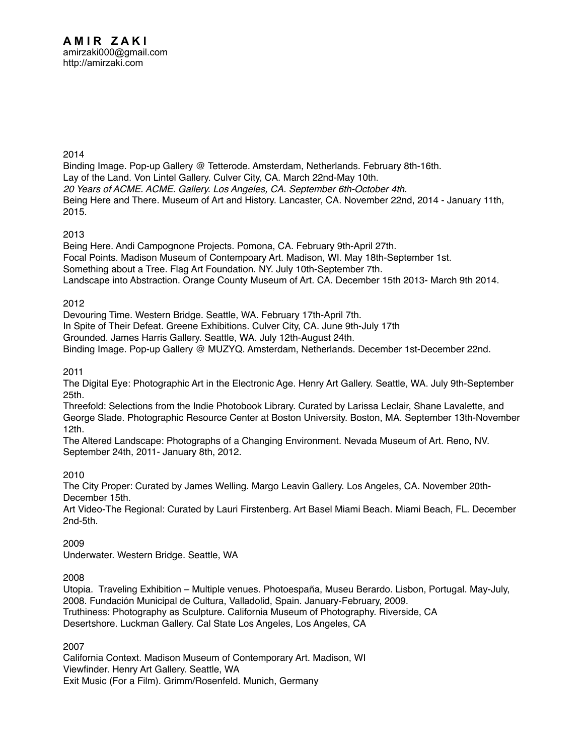[Binding Image. Pop-up Gallery @ Tetterode. Amsterdam, Netherlands. February 8th-16th.](http://amirzaki.net/cv/Bib_I-C52.pdf) [Lay of the Land. Von Lintel Gallery. Culver City, CA. March 22nd-May 10th.](http://amirzaki.net/cv/Bib_I-C50.pdf) *[20 Years of ACME. ACME. Gallery. Los Angeles, CA. September 6th-October 4th.](http://amirzaki.net/cv/Bib_I-C51.pdf)*  [Being Here and There. Museum of Art and History. Lancaster, CA. November 22nd, 2014 - January 11th,](http://amirzaki.net/cv/Bib_I-C53.pdf)  [2015.](http://amirzaki.net/cv/Bib_I-C53.pdf)

2013

[Being Here. Andi Campognone Projects. Pomona, CA. February 9th-April 27th.](http://amirzaki.net/cv/Bib_I-C46.pdf) [Focal Points. Madison Museum of Contempoary Art. Madison, WI. May 18th-September 1st.](http://amirzaki.net/cv/Bib_I-C47.pdf) [Something about a Tree. Flag Art Foundation. NY. July 10th-September 7th.](http://amirzaki.net/cv/Bib_I-C48.pdf)  [Landscape into Abstraction. Orange County Museum of Art. CA. December 15th 2013- March 9th 2014.](http://amirzaki.net/cv/Bib_I-C49.pdf)

## 2012

[Devouring Time. Western Bridge. Seattle, WA. February 17th-April 7th.](http://amirzaki.net/cv/Bib_I-C42.pdf)

[In Spite of Their Defeat. Greene Exhibitions. Culver City, CA. June 9th-July 17th](http://amirzaki.net/cv/Bib_I-C43.pdf)

[Grounded. James Harris Gallery. Seattle, WA. July 12th-August 24th.](http://amirzaki.net/cv/Bib_I-C44.pdf) 

[Binding Image. Pop-up Gallery @ MUZYQ. Amsterdam, Netherlands. December 1st-December 22nd.](http://amirzaki.net/cv/Bib_I-C45.pdf)

## 2011

[The Digital Eye: Photographic Art in the Electronic Age. Henry Art Gallery. Seattle, WA. July 9th-September](http://amirzaki.net/cv/Bib_I-C39.pdf)  [25th.](http://amirzaki.net/cv/Bib_I-C39.pdf)

[Threefold: Selections from the Indie Photobook Library. Curated by Larissa Leclair, Shane Lavalette, and](http://amirzaki.net/cv/Bib_I-C40.pdf)  [George Slade. Photographic Resource Center at Boston University. Boston, MA. September 13th-November](http://amirzaki.net/cv/Bib_I-C40.pdf)  [12th.](http://amirzaki.net/cv/Bib_I-C40.pdf) 

[The Altered Landscape: Photographs of a Changing Environment. Nevada Museum of Art. Reno, NV.](http://amirzaki.net/cv/Bib_I-C41.pdf)  [September 24th, 2011- January 8th, 2012.](http://amirzaki.net/cv/Bib_I-C41.pdf)

# 2010

[The City Proper: Curated by James Welling. Margo Leavin Gallery. Los Angeles, CA. November 20th-](http://amirzaki.net/cv/Bib_I-C37.pdf)[December 15th.](http://amirzaki.net/cv/Bib_I-C37.pdf)

[Art Video-The Regional: Curated by Lauri Firstenberg. Art Basel Miami Beach. Miami Beach, FL. December](http://amirzaki.net/cv/Bib_I-C38.pdf)  [2nd-5th.](http://amirzaki.net/cv/Bib_I-C38.pdf)

2009

[Underwater. Western Bridge. Seattle, WA](http://amirzaki.net/cv/Bib_I-C36.pdf)

2008

[Utopia. Traveling Exhibition – Multiple venues. Photoespaña, Museu Berardo. Lisbon, Portugal. May-July,](http://amirzaki.net/cv/Bib_I-C33.pdf)  [2008. Fundación Municipal de Cultura, Valladolid, Spain. January-February, 2009.](http://amirzaki.net/cv/Bib_I-C33.pdf)  [Truthiness: Photography as Sculpture. California Museum of Photography. Riverside, CA](http://amirzaki.net/cv/Bib_I-C34.pdf) [Desertshore. Luckman Gallery. Cal State Los Angeles, Los Angeles, CA](http://amirzaki.net/cv/Bib_I-C35.pdf)

2007

[California Context. Madison Museum of Contemporary Art. Madison, WI](http://amirzaki.net/cv/Bib_I-C32.pdf) [Viewfinder. Henry Art Gallery. Seattle, WA](http://amirzaki.net/cv/Bib_I-C31.pdf) [Exit Music \(For a Film\). Grimm/Rosenfeld. Munich, Germany](http://amirzaki.net/cv/Bib_I-C30.pdf)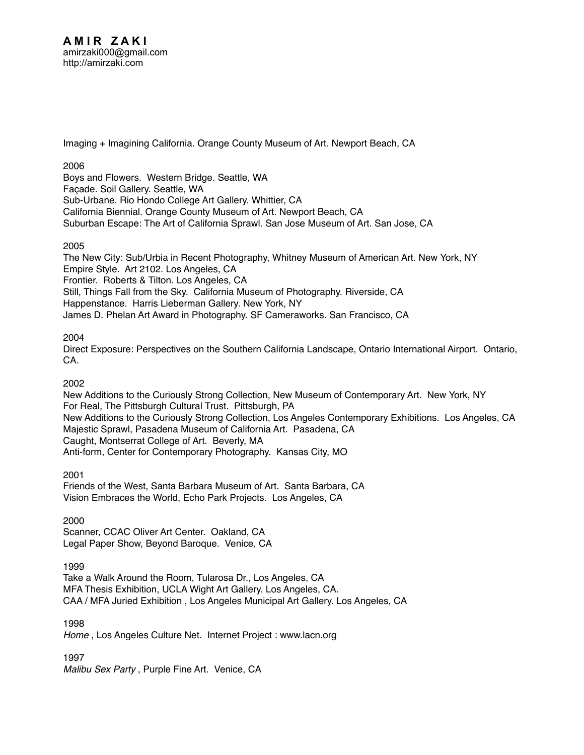[Imaging + Imagining California. Orange County Museum of Art. Newport Beach, CA](http://amirzaki.net/cv/Bib_I-C29.pdf)

# 2006

[Boys and Flowers. Western Bridge. Seattle, WA](http://amirzaki.net/cv/Bib_I-C24.pdf) [Façade. Soil Gallery. Seattle, WA](http://amirzaki.net/cv/Bib_I-C28.pdf) [Sub-Urbane. Rio Hondo College Art Gallery. Whittier, CA](http://amirzaki.net/cv/Bib_I-C25.pdf) [California Biennial. Orange County Museum of Art. Newport Beach, CA](http://amirzaki.net/cv/Bib_I-C26.pdf) [Suburban Escape: The Art of California Sprawl. San Jose Museum of Art. San Jose, CA](http://amirzaki.net/cv/Bib_I-C27.pdf)

# 2005

[The New City: Sub/Urbia in Recent Photography, Whitney Museum of American Art. New York, NY](http://amirzaki.net/cv/Bib_I-C19.pdf) [Empire Style. Art 2102. Los Angeles, CA](http://amirzaki.net/cv/Bib_I-C18.pdf) [Frontier. Roberts & Tilton. Los Angeles, CA](http://amirzaki.net/cv/Bib_I-C20.pdf) [Still, Things Fall from the Sky. California Museum of Photography. Riverside, CA](http://amirzaki.net/cv/Bib_I-C21.pdf) [Happenstance. Harris Lieberman Gallery. New York, NY](http://amirzaki.net/cv/Bib_I-C22.pdf) [James D. Phelan Art Award in Photography. SF Cameraworks. San Francisco, CA](http://amirzaki.net/cv/Bib_I-C23.pdf)

# 2004

[Direct Exposure: Perspectives on the Southern California Landscape, Ontario International Airport. Ontario,](http://amirzaki.net/cv/Bib_I-C17.pdf)  [CA.](http://amirzaki.net/cv/Bib_I-C17.pdf)

# 2002

New Additions to the Curiously Strong Collection, New Museum of Contemporary Art. New York, NY [For Real, The Pittsburgh Cultural Trust. Pittsburgh, PA](http://amirzaki.net/cv/Bib_I-C14.pdf) New Additions to the Curiously Strong Collection, Los Angeles Contemporary Exhibitions. Los Angeles, CA Majestic Sprawl, Pasadena Museum of California Art. Pasadena, CA [Caught, Montserrat College of Art. Beverly, MA](http://amirzaki.net/cv/Bib_I-C11.pdf) [Anti-form, Center for Contemporary Photography. Kansas City, MO](http://amirzaki.net/cv/Bib_I-C13.pdf)

2001

Friends of the West, Santa Barbara Museum of Art. Santa Barbara, CA [Vision Embraces the World, Echo Park Projects. Los Angeles, CA](http://amirzaki.net/cv/Bib_I-C9.pdf) 

2000

[Scanner, CCAC Oliver Art Center. Oakland, CA](http://amirzaki.net/cv/Bib_I-C7.pdf) Legal Paper Show, Beyond Baroque. Venice, CA

1999

[Take a Walk Around the Room, Tularosa Dr., Los Angeles, CA](http://amirzaki.net/cv/Bib_I-C6.pdf) [MFA Thesis Exhibition, UCLA Wight Art Gallery. Los Angeles, CA.](http://amirzaki.net/cv/Bib_I-C5.pdf) CAA / MFA Juried Exhibition , Los Angeles Municipal Art Gallery. Los Angeles, CA

1998

*Home* , Los Angeles Culture Net. Internet Project : www.lacn.org

1997

*Malibu Sex Party* , Purple Fine Art. Venice, CA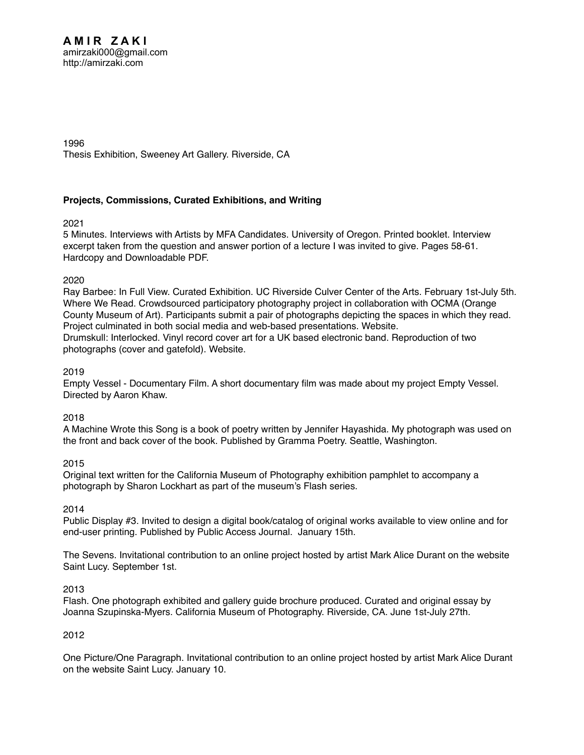1996

[Thesis Exhibition, Sweeney Art Gallery. Riverside, CA](http://amirzaki.net/cv/Bib_I-C1.pdf)

# **Projects, Commissions, Curated Exhibitions, and Writing**

2021

[5 Minutes. Interviews with Artists by MFA Candidates. University of Oregon. Printed booklet. Interview](http://amirzaki.net/cv/Bibliography_III-D2.pdf)  [excerpt taken from the question and answer portion of a lecture I was invited to give. Pages 58-61.](http://amirzaki.net/cv/Bibliography_III-D2.pdf)  [Hardcopy](http://amirzaki.net/cv/Bibliography_III-D2.pdf) and [Downloadable PDF.](http://fivemin.org/wp-content/uploads/2021/11/UO21_5Minutes_Digital.pdf)

2020

[Ray Barbee: In Full View. Curated Exhibition. UC Riverside Culver Center of the Arts. February 1st-July 5th](http://amirzaki.net/cv/Bib_I-F3.pdf). [Where We Read. Crowdsourced participatory photography project in collaboration with OCMA \(Orange](http://amirzaki.net/cv/Bib_I-D17.pdf)  [County Museum of Art\). Participants submit a pair of photographs depicting the spaces in which they read.](http://amirzaki.net/cv/Bib_I-D17.pdf)  [Project culminated in both social media and web-based presentations.](http://amirzaki.net/cv/Bib_I-D17.pdf) [Website](https://www.tumblr.com/blog/view/where-we-read). [Drumskull: Interlocked. Vinyl record cover art for a UK based electronic band. Reproduction of two](http://amirzaki.net/cv/Bib_I-D18.pdf)  [photographs \(cover and gatefold\).](http://amirzaki.net/cv/Bib_I-D18.pdf) [Website](https://seagrave.bandcamp.com/album/interlocked).

# 2019

[Empty Vessel - Documentary Film. A short documentary film was made about my project Empty Vessel.](https://www.youtube.com/watch?v=YzpRxtKBku8&feature=youtu.be)  [Directed by Aaron Khaw.](https://www.youtube.com/watch?v=YzpRxtKBku8&feature=youtu.be) 

# 2018

[A Machine Wrote this Song is a book of poetry written by Jennifer Hayashida. My photograph was used on](http://amirzaki.net/cv/Bib_I-D15.pdf)  [the front and back cover of the book. Published by Gramma Poetry. Seattle, Washington.](http://amirzaki.net/cv/Bib_I-D15.pdf) 

# 2015

[Original text written for the California Museum of Photography exhibition pamphlet to accompany a](http://amirzaki.net/cv/Bib_I-D14.pdf)  [photograph by Sharon Lockhart as part of the museum's Flash series.](http://amirzaki.net/cv/Bib_I-D14.pdf) 

2014

[Public Display #3. Invited to design a digital book/catalog of original works available to view online and for](http://amirzaki.net/cv/Bib_I-D12.pdf)  [end-user printing. Published by Public Access Journal. January 15th.](http://amirzaki.net/cv/Bib_I-D12.pdf)

[The Sevens. Invitational contribution to an online project hosted by artist Mark Alice Durant on the website](http://amirzaki.net/cv/Bib_I-D13.pdf)  [Saint Lucy. September 1st.](http://amirzaki.net/cv/Bib_I-D13.pdf)

#### 2013

[Flash. One photograph exhibited and gallery guide brochure produced. Curated and original essay by](http://amirzaki.net/cv/Bib_I-D11.pdf)  [Joanna Szupinska-Myers. California Museum of Photography. Riverside, CA. June 1st-July 27th.](http://amirzaki.net/cv/Bib_I-D11.pdf)

# 2012

[One Picture/One Paragraph. Invitational contribution to an online project hosted by artist Mark Alice Durant](http://amirzaki.net/cv/Bib_I-D10.pdf)  [on the website Saint Lucy. January 10.](http://amirzaki.net/cv/Bib_I-D10.pdf)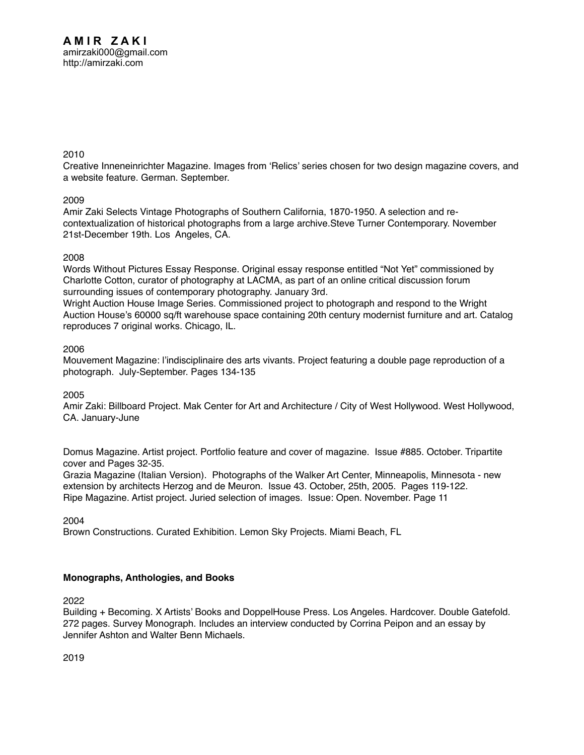[Creative Inneneinrichter Magazine. Images from 'Relics' series chosen for two design magazine covers, and](http://amirzaki.net/cv/Bib_I-D9.pdf)  [a website feature. German. September.](http://amirzaki.net/cv/Bib_I-D9.pdf) 

## 2009

[Amir Zaki Selects Vintage Photographs of Southern California, 1870-1950. A selection and re](http://amirzaki.net/cv/Bib_I-F2.pdf)[contextualization of historical photographs from a large archive.Steve Turner Contemporary. November](http://amirzaki.net/cv/Bib_I-F2.pdf)  [21st-December 19th. Los Angeles, CA.](http://amirzaki.net/cv/Bib_I-F2.pdf)

## 2008

[Words Without Pictures Essay Response. Original essay response entitled "Not Yet" commissioned by](http://amirzaki.net/cv/Bib_I-D8.pdf)  [Charlotte Cotton, curator of photography at LACMA, as part of an online critical discussion forum](http://amirzaki.net/cv/Bib_I-D8.pdf)  [surrounding issues of contemporary photography. January 3rd.](http://amirzaki.net/cv/Bib_I-D8.pdf)

[Wright Auction House Image Series. Commissioned project to photograph and respond to the Wright](http://amirzaki.net/cv/Bib_I-D7.pdf)  [Auction House's 60000 sq/ft warehouse space containing 20th century modernist furniture and art. Catalog](http://amirzaki.net/cv/Bib_I-D7.pdf)  [reproduces 7 original works. Chicago, IL.](http://amirzaki.net/cv/Bib_I-D7.pdf)

## 2006

[Mouvement Magazine: l'indisciplinaire des arts vivants. Project featuring a double page reproduction of a](http://amirzaki.net/cv/Bib_I-D6.pdf)  [photograph. July-September. Pages 134-135](http://amirzaki.net/cv/Bib_I-D6.pdf)

# 2005

[Amir Zaki: Billboard Project. Mak Center for Art and Architecture / City of West Hollywood. West Hollywood,](http://amirzaki.net/cv/Bib_I-D2.pdf)  [CA. January-June](http://amirzaki.net/cv/Bib_I-D2.pdf)

[Domus Magazine. Artist project. Portfolio feature and cover of magazine. Issue #885. October. Tripartite](http://amirzaki.net/cv/Bib_I-D3.pdf)  [cover and Pages 32-35.](http://amirzaki.net/cv/Bib_I-D3.pdf)

[Grazia Magazine \(Italian Version\). Photographs of the Walker Art Center, Minneapolis, Minnesota - new](http://amirzaki.net/cv/Bib_I-D4.pdf)  [extension by architects Herzog and de Meuron. Issue 43. October, 25th, 2005. Pages 119-122.](http://amirzaki.net/cv/Bib_I-D4.pdf) [Ripe Magazine. Artist project. Juried selection of images. Issue: Open. November. Page 11](http://amirzaki.net/cv/Bib_I-D5.pdf)

2004

[Brown Constructions. Curated Exhibition. Lemon Sky Projects. Miami Beach, FL](http://amirzaki.net/cv/Bib_I-F1.pdf)

# **Monographs, Anthologies, and Books**

2022

[Building + Becoming. X Artists' Books and DoppelHouse Press. Los Angeles. Hardcover. Double Gatefold.](http://amirzaki.net/cv/Bib_I-E10.pdf)  [272 pages. Survey Monograph. Includes an interview conducted by Corrina Peipon and an essay by](http://amirzaki.net/cv/Bib_I-E10.pdf)  [Jennifer Ashton and Walter Benn Michaels.](http://amirzaki.net/cv/Bib_I-E10.pdf)

2019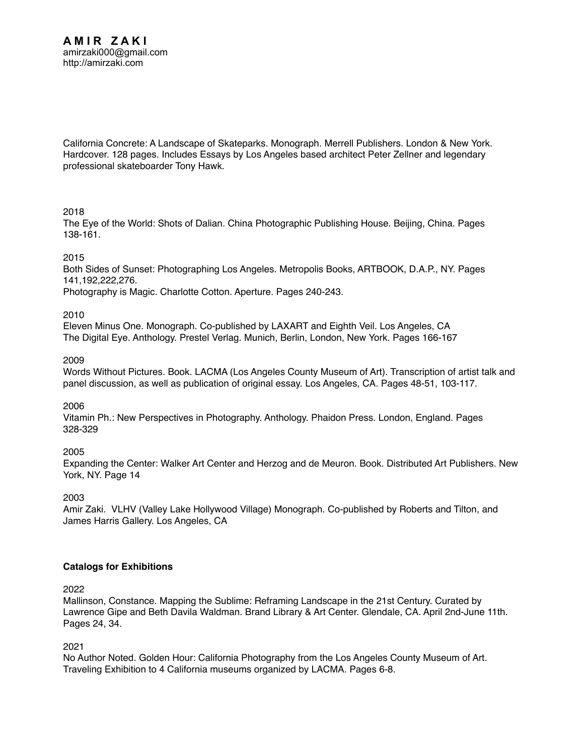[California Concrete: A Landscape of Skateparks. Monograph. Merrell Publishers. London & New York.](http://amirzaki.net/cv/Bib_I-E9.pdf)  [Hardcover. 128 pages. Includes Essays by Los Angeles based architect Peter Zellner and legendary](http://amirzaki.net/cv/Bib_I-E9.pdf)  [professional skateboarder Tony Hawk.](http://amirzaki.net/cv/Bib_I-E9.pdf) 

## 2018

[The Eye of the World: Shots of Dalian. China Photographic Publishing House. Beijing, China. Pages](http://amirzaki.net/cv/Bib_I-E8.pdf)  [138-161.](http://amirzaki.net/cv/Bib_I-E8.pdf)

## 2015

[Both Sides of Sunset: Photographing Los Angeles. Metropolis Books, ARTBOOK, D.A.P., NY. Pages](http://amirzaki.net/cv/Bib_I-E6.pdf)  [141,192,222,276.](http://amirzaki.net/cv/Bib_I-E6.pdf)

[Photography is Magic. Charlotte Cotton. Aperture. Pages 240-243.](http://amirzaki.net/cv/Bib_I-E7.pdf) 

## 2010

[Eleven Minus One. Monograph. Co-published by LAXART and Eighth Veil. Los Angeles, CA](http://amirzaki.net/cv/Bib_I-E5.pdf) [The Digital Eye. Anthology. Prestel Verlag. Munich, Berlin, London, New York. Pages 166-167](http://amirzaki.net/cv/bib_I-E4.pdf)

## 2009

[Words Without Pictures. Book. LACMA \(Los Angeles County Museum of Art\). Transcription of artist talk and](http://amirzaki.net/cv/Bib_I-Wordswithoutpictures.pdf)  [panel discussion, as well as publication of original essay. Los Angeles, CA. Pages 48-51, 103-117.](http://amirzaki.net/cv/Bib_I-Wordswithoutpictures.pdf)

#### 2006

[Vitamin Ph.: New Perspectives in Photography. Anthology. Phaidon Press. London, England. Pages](http://amirzaki.net/cv/Bib_I-E3.pdf)  [328-329](http://amirzaki.net/cv/Bib_I-E3.pdf) 

2005

[Expanding the Center: Walker Art Center and Herzog and de Meuron. Book. Distributed Art Publishers. New](http://amirzaki.net/cv/Bib_I-E2.pdf)  [York, NY. Page 14](http://amirzaki.net/cv/Bib_I-E2.pdf)

2003

[Amir Zaki. VLHV \(Valley Lake Hollywood Village\) Monograph. Co-published by Roberts and Tilton, and](http://amirzaki.net/cv/Bib_I-E1.pdf)  [James Harris Gallery. Los Angeles, CA](http://amirzaki.net/cv/Bib_I-E1.pdf) 

# **Catalogs for Exhibitions**

2022

[Mallinson, Constance. Mapping the Sublime: Reframing Landscape in the 21st Century. Curated by](http://amirzaki.net/cv/Bibliography_II-C19.pdf)  [Lawrence Gipe and Beth Davila Waldman. Brand Library & Art Center. Glendale, CA. April 2nd-June 11th.](http://amirzaki.net/cv/Bibliography_II-C19.pdf)  [Pages 24, 34.](http://amirzaki.net/cv/Bibliography_II-C19.pdf) 

2021

[No Author Noted. Golden Hour: California Photography from the Los Angeles County Museum of Art.](http://amirzaki.net/cv/Bibliography_II-C18.pdf)  [Traveling Exhibition to 4 California museums organized by LACMA. Pages 6-8.](http://amirzaki.net/cv/Bibliography_II-C18.pdf)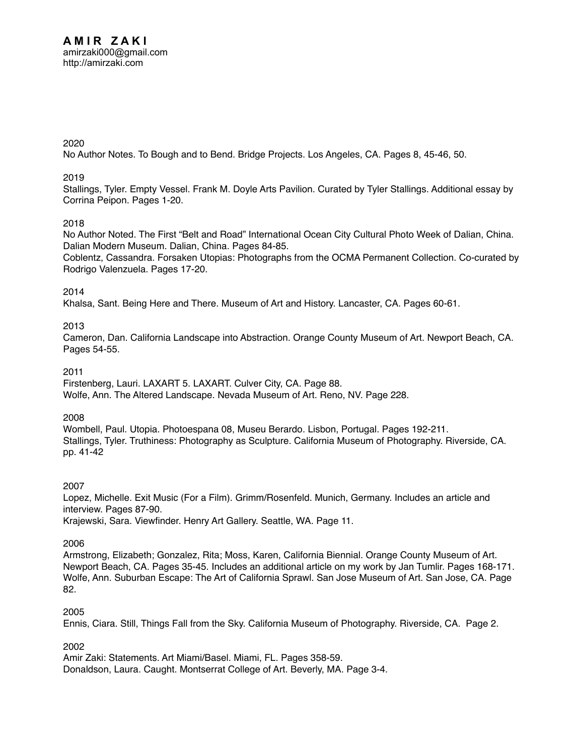2020

[No Author Notes. To Bough and to Bend. Bridge Projects. Los Angeles, CA. Pages 8, 45-46, 50.](http://amirzaki.net/cv/Bibliography_II-C17.pdf)

## 2019

[Stallings, Tyler. Empty Vessel. Frank M. Doyle Arts Pavilion. Curated by Tyler Stallings. Additional essay by](http://amirzaki.net/cv/Bibliography_II-C16.pdf)  [Corrina Peipon. Pages 1-20.](http://amirzaki.net/cv/Bibliography_II-C16.pdf)

# 2018

[No Author Noted. The First "Belt and Road" International Ocean City Cultural Photo Week of Dalian, China.](http://amirzaki.net/cv/Bibliography_II-C14.pdf)  [Dalian Modern Museum. Dalian, China. Pages 84-85.](http://amirzaki.net/cv/Bibliography_II-C14.pdf) 

[Coblentz, Cassandra. Forsaken Utopias: Photographs from the OCMA Permanent Collection. Co-curated by](http://amirzaki.net/cv/Bibliography_II-C15.pdf)  [Rodrigo Valenzuela. Pages 17-20.](http://amirzaki.net/cv/Bibliography_II-C15.pdf) 

#### 2014

[Khalsa, Sant. Being Here and There. Museum of Art and History. Lancaster, CA. Pages 60-61.](http://amirzaki.net/cv/Bibliography_II-C13.pdf)

## 2013

[Cameron, Dan. California Landscape into Abstraction. Orange County Museum of Art. Newport Beach, CA.](http://amirzaki.net/cv/Bibliography_II-C12.pdf)  [Pages 54-55.](http://amirzaki.net/cv/Bibliography_II-C12.pdf)

# 2011

[Firstenberg, Lauri. LAXART 5. LAXART. Culver City, CA. Page 88.](http://amirzaki.net/cv/Bibliography_II-C10.pdf) [Wolfe, Ann. The Altered Landscape. Nevada Museum of Art. Reno, NV. Page 228](http://amirzaki.net/cv/Bibliography_II-C11.pdf).

#### 2008

[Wombell, Paul. Utopia. Photoespana 08, Museu Berardo. Lisbon, Portugal. Pages 192-211.](http://amirzaki.net/cv/Bibliography_II-C8.pdf) [Stallings, Tyler. Truthiness: Photography as Sculpture. California Museum of Photography. Riverside, CA.](http://amirzaki.net/cv/Bibliography_II-C9.pdf)  [pp. 41-42](http://amirzaki.net/cv/Bibliography_II-C9.pdf)

#### 2007

[Lopez, Michelle. Exit Music \(For a Film\). Grimm/Rosenfeld. Munich, Germany. Includes an article and](http://amirzaki.net/cv/Bibliography_II-C6.pdf)  [interview. Pages 87-90.](http://amirzaki.net/cv/Bibliography_II-C6.pdf)  [Krajewski, Sara. Viewfinder. Henry Art Gallery. Seattle, WA. Page 11.](http://amirzaki.net/cv/Bibliography_II-C7.pdf)

# 2006

[Armstrong, Elizabeth; Gonzalez, Rita; Moss, Karen, California Biennial. Orange County Museum of Art.](http://amirzaki.net/cv/Bibliography_II-C4.pdf)  [Newport Beach, CA. Pages 35-45. Includes an additional article on my work by Jan Tumlir. Pages 168-171.](http://amirzaki.net/cv/Bibliography_II-C4.pdf) [Wolfe, Ann. Suburban Escape: The Art of California Sprawl. San Jose Museum of Art. San Jose, CA. Page](http://amirzaki.net/cv/Bibliography_II-C5.pdf)  [82.](http://amirzaki.net/cv/Bibliography_II-C5.pdf)

#### 2005

[Ennis, Ciara. Still, Things Fall from the Sky. California Museum of Photography. Riverside, CA. Page 2.](http://amirzaki.net/cv/Bibliography_II-C3.pdf)

2002

[Amir Zaki: Statements. Art Miami/Basel. Miami, FL. Pages 358-59.](http://amirzaki.net/cv/Bibliography_II-C1.pdf) [Donaldson, Laura. Caught. Montserrat College of Art. Beverly, MA. Page 3-4.](http://amirzaki.net/cv/Bibliography_II-C2.pdf)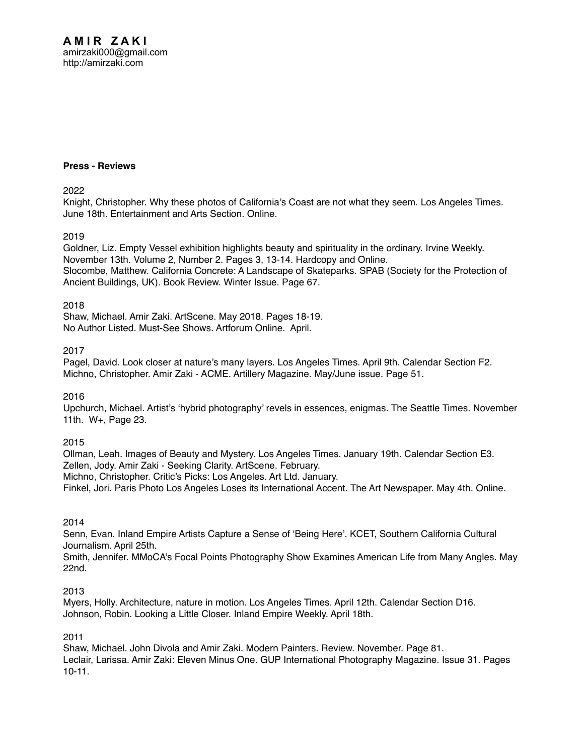#### **Press - Reviews**

2022

[Knight, Christopher. Why these photos of California's Coast are not what they seem. Los Angeles Times.](http://amirzaki.net/cv/Bibliography_II-A81.pdf)  [June 18th. Entertainment and Arts Section.](http://amirzaki.net/cv/Bibliography_II-A81.pdf) [Online](https://www.latimes.com/entertainment-arts/newsletter/2022-06-18/essential-arts-amir-zaki-pandemic-photography-essential-arts).

#### 2019

[Goldner, Liz. Empty Vessel exhibition highlights beauty and spirituality in the ordinary. Irvine Weekly.](http://amirzaki.net/cv/Bibliography_II-A79.pdf)  [November 13th. Volume 2, Number 2. Pages 3, 13-14. Hardcopy and](http://amirzaki.net/cv/Bibliography_II-A79.pdf) [Online](https://irvineweekly.com/empty-vessel-exhibition-highlights-beauty-and-spirituality-in-the-ordinary/). [Slocombe, Matthew. California Concrete: A Landscape of Skateparks. SPAB \(Society for the Protection of](http://amirzaki.net/cv/Bibliography_II-A80.pdf)  [Ancient Buildings, UK\). Book Review. Winter Issue. Page 67.](http://amirzaki.net/cv/Bibliography_II-A80.pdf)

#### 2018

[Shaw, Michael. Amir Zaki. ArtScene. May 2018. Pages 18-19.](http://amirzaki.net/cv/Bibliography_II-A77.pdf)  [No Author Listed. Must-See Shows. Artforum Online. April.](http://amirzaki.net/cv/Bibliography_II-A78.pdf)

## 2017

[Pagel, David. Look closer at nature's many layers. Los Angeles Times. April 9th. Calendar Section F2.](http://amirzaki.net/cv/Bibliography_II-A75.pdf) [Michno, Christopher. Amir Zaki - ACME. Artillery Magazine. May/June issue. Page 51.](http://amirzaki.net/cv/Bibliography_II-A76.pdf)

2016

[Upchurch, Michael. Artist's 'hybrid photography' revels in essences, enigmas. The Seattle Times. November](http://amirzaki.net/cv/Bibliography_II-A74.pdf)  [11th. W+, Page 23.](http://amirzaki.net/cv/Bibliography_II-A74.pdf) 

2015

[Ollman, Leah. Images of Beauty and Mystery. Los Angeles Times. January 19th. Calendar Section E3.](http://amirzaki.net/cv/Bibliography_II-A70.pdf) [Zellen, Jody. Amir Zaki - Seeking Clarity. ArtScene. February.](http://amirzaki.net/cv/Bibliography_II-A71.pdf) [Michno, Christopher. Critic's Picks: Los Angeles. Art Ltd. January.](http://amirzaki.net/cv/Bibliography_II-A72.pdf)

[Finkel, Jori. Paris Photo Los Angeles Loses its International Accent. The Art Newspaper. May 4th. Online.](http://amirzaki.net/cv/Bibliography_II-A73.pdf)

#### 2014

[Senn, Evan. Inland Empire Artists Capture a Sense of 'Being Here'. KCET, Southern California Cultural](http://amirzaki.net/cv/Bibliography_II-A68.pdf)  [Journalism. April 25th.](http://amirzaki.net/cv/Bibliography_II-A68.pdf)

[Smith, Jennifer. MMoCA's Focal Points Photography Show Examines American Life from Many Angles. May](http://amirzaki.net/cv/Bibliography_II-A69.pdf)  [22nd.](http://amirzaki.net/cv/Bibliography_II-A69.pdf) 

#### 2013

[Myers, Holly. Architecture, nature in motion. Los Angeles Times. April 12th. Calendar Section D16.](http://amirzaki.net/cv/Bibliography_II-A66.pdf) [Johnson, Robin. Looking a Little Closer. Inland Empire Weekly. April 18th.](http://amirzaki.net/cv/Bibliography_II-A67.pdf) 

#### 2011

[Shaw, Michael. John Divola and Amir Zaki. Modern Painters. Review. November. Page 81.](http://amirzaki.net/cv/Bibliography_II-A64.pdf) [Leclair, Larissa. Amir Zaki: Eleven Minus One. GUP International Photography Magazine. Issue 31. Pages](http://amirzaki.net/cv/Bibliography_II-A65.pdf)  [10-11.](http://amirzaki.net/cv/Bibliography_II-A65.pdf)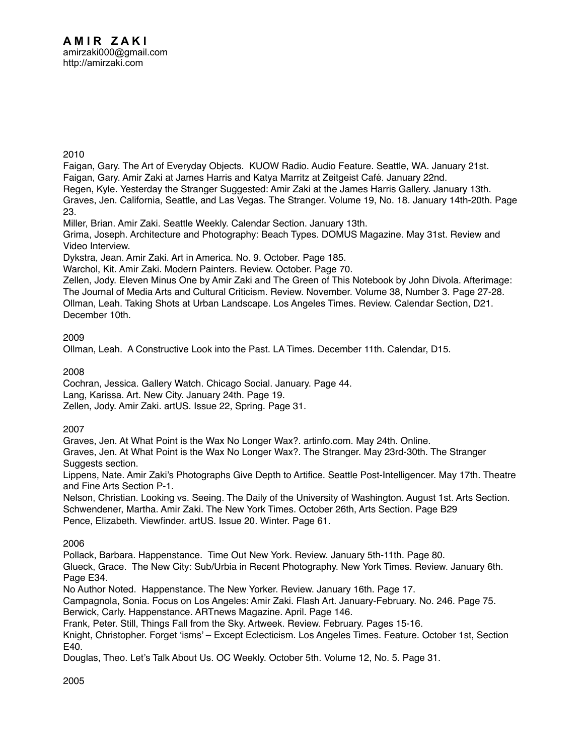[Faigan, Gary. The Art of Everyday Objects. KUOW Radio. Audio Feature. Seattle, WA. January 21st.](http://amirzaki.net/cv/Bibliography_II-A54.mp3)  [Faigan, Gary. Amir Zaki at James Harris and Katya Marritz at Zeitgeist Café. January 22nd.](http://amirzaki.net/cv/Bibliography_II-A55.pdf)

[Regen, Kyle. Yesterday the Stranger Suggested: Amir Zaki at the James Harris Gallery. January 13th.](http://amirzaki.net/cv/Bibliography_II-A56.pdf)

[Graves, Jen. California, Seattle, and Las Vegas. The Stranger. Volume 19, No. 18. January 14th-20th. Page](http://amirzaki.net/cv/Bibliography_II-A57.pdf)  [23.](http://amirzaki.net/cv/Bibliography_II-A57.pdf)

[Miller, Brian. Amir Zaki. Seattle Weekly. Calendar Section. January 13th.](http://amirzaki.net/cv/Bibliography_II-A58.pdf)

[Grima, Joseph. Architecture and Photography: Beach Types. DOMUS Magazine. May 31st. Review](http://amirzaki.net/cv/Bibliography_II-A59.pdf) and [Video Interview.](https://vimeo.com/18958366)

[Dykstra, Jean. Amir Zaki. Art in America. No. 9. October. Page 185.](http://amirzaki.net/cv/Bibliography_II-A60.pdf)

[Warchol, Kit. Amir Zaki. Modern Painters. Review. October. Page 70.](http://amirzaki.net/cv/Bibliography_II-A61.pdf)

[Zellen, Jody. Eleven Minus One by Amir Zaki and The Green of This Notebook by John Divola. Afterimage:](http://amirzaki.net/cv/Bibliography_II-A62.pdf)  [The Journal of Media Arts and Cultural Criticism. Review. November. Volume 38, Number 3. Page 27-28.](http://amirzaki.net/cv/Bibliography_II-A62.pdf) [Ollman, Leah. Taking Shots at Urban Landscape. Los Angeles Times. Review. Calendar Section, D21.](http://amirzaki.net/cv/Bibliography_II-A63.pdf)  [December 10th.](http://amirzaki.net/cv/Bibliography_II-A63.pdf)

## 2009

[Ollman, Leah. A Constructive Look into the Past. LA Times. December 11th. Calendar, D15.](http://amirzaki.net/cv/Bib_II-A53.pdf)

2008

[Cochran, Jessica. Gallery Watch. Chicago Social. January. Page 44.](http://amirzaki.net/cv/Bibliography_II-A50.pdf)

[Lang, Karissa. Art. New City. January 24th. Page 19.](http://amirzaki.net/cv/Bibliography_II-A51.pdf)

[Zellen, Jody. Amir Zaki. artUS. Issue 22, Spring. Page 31.](http://amirzaki.net/cv/Bibliography_II-A52.pdf)

# 2007

[Graves, Jen. At What Point is the Wax No Longer Wax?. artinfo.com. May 24th. Online.](http://amirzaki.net/cv/Bibliography_II-A44.pdf)

[Graves, Jen. At What Point is the Wax No Longer Wax?. The Stranger. May 23rd-30th. The Stranger](http://amirzaki.net/cv/Bibliography_II-A45.pdf)  [Suggests section.](http://amirzaki.net/cv/Bibliography_II-A45.pdf)

[Lippens, Nate. Amir Zaki's Photographs Give Depth to Artifice. Seattle Post-Intelligencer. May 17th. Theatre](http://amirzaki.net/cv/Bibliography_II-A46.pdf)  [and Fine Arts Section P-1.](http://amirzaki.net/cv/Bibliography_II-A46.pdf)

[Nelson, Christian. Looking vs. Seeing. The Daily of the University of Washington. August 1st. Arts Section.](http://amirzaki.net/cv/Bibliography_II-A47.pdf) [Schwendener, Martha. Amir Zaki. The New York Times. October 26th, Arts Section. Page B29](http://amirzaki.net/cv/Bibliography_II-A48.pdf) [Pence, Elizabeth. Viewfinder. artUS. Issue 20. Winter. Page 61.](http://amirzaki.net/cv/Bibliography_II-A49.pdf)

2006

[Pollack, Barbara. Happenstance. Time Out New York. Review. January 5th-11th. Page 80.](http://amirzaki.net/cv/Bibliography_II-A36.pdf)

[Glueck, Grace. The New City: Sub/Urbia in Recent Photography. New York Times. Review. January 6th.](http://amirzaki.net/cv/Bibliography_II-A37.pdf)  [Page E34.](http://amirzaki.net/cv/Bibliography_II-A37.pdf)

[No Author Noted. Happenstance. The New Yorker. Review. January 16th. Page 17.](http://amirzaki.net/cv/Bibliography_II-A38.pdf)

[Campagnola, Sonia. Focus on Los Angeles: Amir Zaki. Flash Art. January-February. No. 246. Page 75.](http://amirzaki.net/cv/Bibliography_II-A39.pdf) [Berwick, Carly. Happenstance. ARTnews Magazine. April. Page 146.](http://amirzaki.net/cv/Bibliography_II-A40.pdf)

[Frank, Peter. Still, Things Fall from the Sky. Artweek. Review. February. Pages 15-16.](http://amirzaki.net/cv/Bibliography_II-A41.pdf)

[Knight, Christopher. Forget 'isms' – Except Eclecticism. Los Angeles Times. Feature. October 1st, Section](http://amirzaki.net/cv/Bibliography_II-A42.pdf)  [E40.](http://amirzaki.net/cv/Bibliography_II-A42.pdf)

[Douglas, Theo. Let's Talk About Us. OC Weekly. October 5th. Volume 12, No. 5. Page 31.](http://amirzaki.net/cv/Bibliography_II-A43.pdf)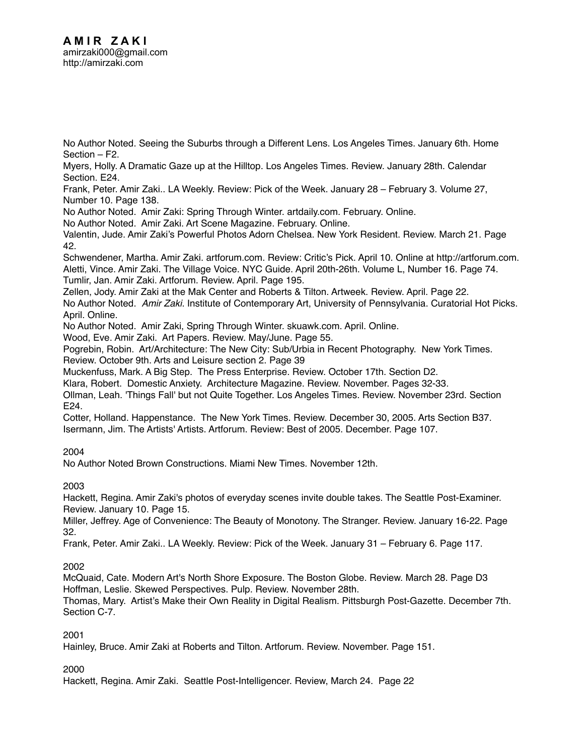[No Author Noted. Seeing the Suburbs through a Different Lens. Los Angeles Times. January 6th. Home](http://amirzaki.net/cv/Bibliography_II-A17.pdf)  [Section – F2.](http://amirzaki.net/cv/Bibliography_II-A17.pdf)

[Myers, Holly. A Dramatic Gaze up at the Hilltop. Los Angeles Times. Review. January 28th. Calendar](http://amirzaki.net/cv/Bibliography_II-A18.pdf)  [Section. E24.](http://amirzaki.net/cv/Bibliography_II-A18.pdf)

[Frank, Peter. Amir Zaki.. LA Weekly. Review: Pick of the Week. January 28 – February 3. Volume 27,](http://amirzaki.net/cv/Bibliography_II-A19.pdf)  [Number 10. Page 138.](http://amirzaki.net/cv/Bibliography_II-A19.pdf)

[No Author Noted. Amir Zaki: Spring Through Winter. artdaily.com. February. Online.](http://amirzaki.net/cv/Bibliography_II-A20.pdf)

[No Author Noted. Amir Zaki. Art Scene Magazine. February. Online.](http://amirzaki.net/cv/Bibliography_II-A21.pdf)

[Valentin, Jude. Amir Zaki's Powerful Photos Adorn Chelsea. New York Resident. Review. March 21. Page](http://amirzaki.net/cv/Bibliography_II-A22.pdf)  [42.](http://amirzaki.net/cv/Bibliography_II-A22.pdf)

[Schwendener, Martha. Amir Zaki. artforum.com. Review: Critic's Pick. April 10. Online at http://artforum.com.](http://amirzaki.net/cv/Bibliography_II-A23.pdf) [Aletti, Vince. Amir Zaki. The Village Voice. NYC Guide. April 20th-26th. Volume L, Number 16. Page 74.](http://amirzaki.net/cv/Bibliography_II-A24.pdf) [Tumlir, Jan. Amir Zaki. Artforum. Review. April. Page 195.](http://amirzaki.net/cv/Bibliography_II-A25.pdf)

[Zellen, Jody. Amir Zaki at the Mak Center and Roberts & Tilton. Artweek. Review. April. Page 22.](http://amirzaki.net/cv/Bibliography_II-A26.pdf) No Author Noted. *Amir Zaki.* Institute of Contemporary Art, University of Pennsylvania. Curatorial Hot Picks. April. Online.

[No Author Noted. Amir Zaki, Spring Through Winter. skuawk.com. April. Online.](http://amirzaki.net/cv/Bibliography_II-A28.pdf)

[Wood, Eve. Amir Zaki. Art Papers. Review. May/June. Page 55.](http://amirzaki.net/cv/Bibliography_II-A29.pdf)

[Pogrebin, Robin. Art/Architecture: The New City: Sub/Urbia in Recent Photography. New York Times.](http://amirzaki.net/cv/Bibliography_II-A30.pdf)  [Review. October 9th. Arts and Leisure section 2. Page 39](http://amirzaki.net/cv/Bibliography_II-A30.pdf)

[Muckenfuss, Mark. A Big Step. The Press Enterprise. Review. October 17th. Section D2.](http://amirzaki.net/cv/Bibliography_II-A31.pdf)

[Klara, Robert. Domestic Anxiety. Architecture Magazine. Review. November. Pages 32-33.](http://amirzaki.net/cv/Bibliography_II-A32.pdf)

[Ollman, Leah. 'Things Fall' but not Quite Together. Los Angeles Times. Review. November 23rd. Section](http://amirzaki.net/cv/Bibliography_II-A33.pdf)  [E24.](http://amirzaki.net/cv/Bibliography_II-A33.pdf)

[Cotter, Holland. Happenstance. The New York Times. Review. December 30, 2005. Arts Section B37.](http://amirzaki.net/cv/Bibliography_II-A34.pdf) [Isermann, Jim. The Artists' Artists. Artforum. Review: Best of 2005. December. Page 107.](http://amirzaki.net/cv/Bibliography_II-A35.pdf)

2004

[No Author Noted Brown Constructions. Miami New Times. November 12th.](http://amirzaki.net/cv/Bibliography_II-A16.pdf)

2003

[Hackett, Regina. Amir Zaki's photos of everyday scenes invite double takes. The Seattle Post-Examiner.](http://amirzaki.net/cv/Bibliography_II-A13.pdf)  [Review. January 10. Page 15.](http://amirzaki.net/cv/Bibliography_II-A13.pdf)

[Miller, Jeffrey. Age of Convenience: The Beauty of Monotony. The Stranger. Review. January 16-22. Page](http://amirzaki.net/cv/Bibliography_II-A14.pdf)  [32.](http://amirzaki.net/cv/Bibliography_II-A14.pdf)

[Frank, Peter. Amir Zaki.. LA Weekly. Review: Pick of the Week. January 31 – February 6. Page 117.](http://amirzaki.net/cv/Bibliography_II-A15.pdf)

# 2002

[McQuaid, Cate. Modern Art's North Shore Exposure. The Boston Globe. Review. March 28. Page D3](http://amirzaki.net/cv/Bibliography_II-A10.pdf) [Hoffman, Leslie. Skewed Perspectives. Pulp. Review. November 28th.](http://amirzaki.net/cv/Bibliography_II-A11.pdf) 

[Thomas, Mary. Artist's Make their Own Reality in Digital Realism. Pittsburgh Post-Gazette. December 7th.](http://amirzaki.net/cv/Bibliography_II-A12.pdf)  [Section C-7.](http://amirzaki.net/cv/Bibliography_II-A12.pdf)

2001

[Hainley, Bruce. Amir Zaki at Roberts and Tilton. Artforum. Review. November. Page 151.](http://amirzaki.net/cv/Bibliography_II-A9.pdf)

2000

[Hackett, Regina. Amir Zaki. Seattle Post-Intelligencer. Review, March 24. Page 22](http://amirzaki.net/cv/Bibliography_II-A3.pdf)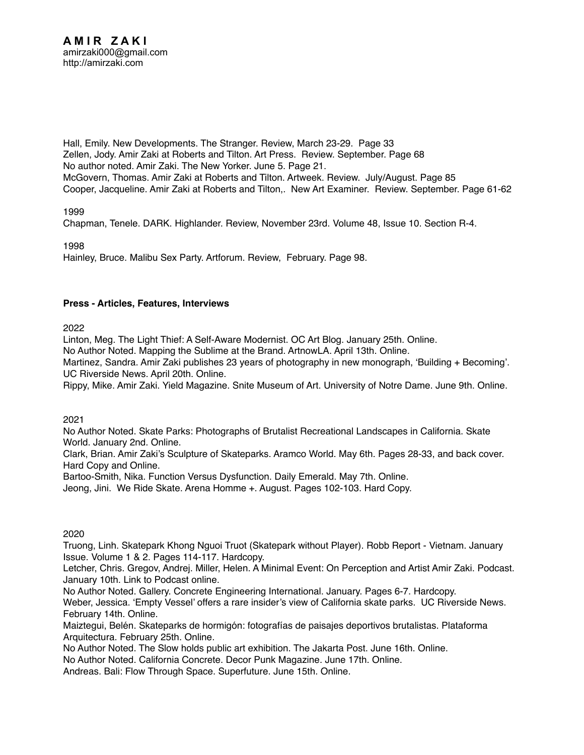[Hall, Emily. New Developments. The Stranger. Review, March 23-29. Page 33](http://amirzaki.net/cv/Bibliography_II-A4.pdf) [Zellen, Jody. Amir Zaki at Roberts and Tilton. Art Press. Review. September. Page 68](http://amirzaki.net/cv/Bibliography_II-A5.pdf) [No author noted. Amir Zaki. The New Yorker. June 5. Page 21.](http://amirzaki.net/cv/Bibliography_II-A6.pdf) [McGovern, Thomas. Amir Zaki at Roberts and Tilton. Artweek. Review. July/August. Page 85](http://amirzaki.net/cv/Bibliography_II-A7.pdf) [Cooper, Jacqueline. Amir Zaki at Roberts and Tilton,. New Art Examiner. Review. September. Page 61-62](http://amirzaki.net/cv/Bibliography_II-A8.pdf)

1999

[Chapman, Tenele. DARK. Highlander. Review, November 23rd. Volume 48, Issue 10. Section R-4](http://amirzaki.net/cv/Bibliography_II-A2.pdf).

1998

[Hainley, Bruce. Malibu Sex Party. Artforum. Review, February. Page 98.](http://amirzaki.net/cv/Bibliography_II-A1.pdf)

## **Press - Articles, Features, Interviews**

2022

[Linton, Meg. The Light Thief: A Self-Aware Modernist. OC Art Blog. January 25th](http://amirzaki.net/cv/Bibliography_II-B79.pdf). [Online.](https://www.ocartblog.com/2022/01/the-light-thief-a-self-aware-modernist/)

[No Author Noted. Mapping the Sublime at the Brand. ArtnowLA. April 13th.](http://amirzaki.net/cv/Bibliography_II-B80.pdf) [Online](https://artnowla.com/2022/04/13/mapping-the-sublime-at-the-brand/).

[Martinez, Sandra. Amir Zaki publishes 23 years of photography in new monograph, 'Building + Becoming'.](http://amirzaki.net/cv/Bibliography_II-B81.pdf)  [UC Riverside News. April 20th.](http://amirzaki.net/cv/Bibliography_II-B81.pdf) [Online.](https://news.ucr.edu/articles/2022/04/20/amir-zaki-publishes-23-years-photography-new-monograph-buildingbecoming)

[Rippy, Mike. Amir Zaki. Yield Magazine. Snite Museum of Art. University of Notre Dame. June 9th.](http://amirzaki.net/cv/Bibliography_II-B82.pdf) [Online.](https://www.yieldmagazine.org/content/interview-with-amir-zaki)

2021

[No Author Noted. Skate Parks: Photographs of Brutalist Recreational Landscapes in California. Skate](http://amirzaki.net/cv/Bibliography_II-B75.pdf)  [World. January 2nd.](http://amirzaki.net/cv/Bibliography_II-B75.pdf) [Online](https://s-k-a-t-e-r.com/2021/01/02/skate-parks-photographs-of-brutalist-recreational-landscapes-in-california/).

[Clark, Brian. Amir Zaki's Sculpture of Skateparks. Aramco World. May 6th. Pages 28-33, and back cover.](http://amirzaki.net/cv/Bibliography_II-B76.pdf)  [Hard Copy](http://amirzaki.net/cv/Bibliography_II-B76.pdf) and [Online](https://www.aramcoworld.com/Articles/April-2021/The-Sculpture-of-Skateparks).

[Bartoo-Smith, Nika. Function Versus Dysfunction. Daily Emerald. May 7th.](http://amirzaki.net/cv/Bibliography_II-B77.pdf) [Online.](https://www.dailyemerald.com/arts-culture/function-versus-dysfunction/article_9f2416b8-aed6-11eb-b0b1-7b70b18eb67d.html)

[Jeong, Jini. We Ride Skate. Arena Homme +. August. Pages 102-103. Hard Copy.](http://amirzaki.net/cv/Bibliography_II-B78.pdf)

#### 2020

[Truong, Linh. Skatepark Khong Nguoi Truot \(Skatepark without Player\). Robb Report - Vietnam. January](http://amirzaki.net/cv/Bibliography_II-B63.pdf)  [Issue. Volume 1 & 2. Pages 114-117. Hardcopy.](http://amirzaki.net/cv/Bibliography_II-B63.pdf)

[Letcher, Chris. Gregov, Andrej. Miller, Helen. A Minimal Event: On Perception and Artist Amir Zaki. Podcast.](http://amirzaki.net/cv/Bibliography_II-B64.pdf)  [January 10th.](http://amirzaki.net/cv/Bibliography_II-B64.pdf) [Link to Podcast online](https://minimalevent.com/2020/01/10/on-perception-and-artist-amir-zaki/).

[No Author Noted. Gallery. Concrete Engineering International. January. Pages 6-7. Hardcopy.](http://amirzaki.net/cv/Bibliography_II-B65.pdf)

[Weber, Jessica. 'Empty Vessel' offers a rare insider's view of California skate parks. UC Riverside News.](http://amirzaki.net/cv/Bibliography_II-B66.pdf)  [February 14th.](http://amirzaki.net/cv/Bibliography_II-B66.pdf) [Online.](https://news.ucr.edu/articles/2020/02/14/empty-vessel-offers-rare-insiders-view-california-skate-parks)

[Maiztegui, Belén. Skateparks de hormigón: fotografías de paisajes deportivos brutalistas. Plataforma](http://amirzaki.net/cv/Bibliography_II-B67.pdf)  [Arquitectura. February 25th.](http://amirzaki.net/cv/Bibliography_II-B67.pdf) [Online](https://www.plataformaarquitectura.cl/cl/934189/skateparks-de-hormigon-fotografias-de-paisajes-deportivos-brutalistas).

[No Author Noted. The Slow holds public art exhibition. The Jakarta Post. June 16th.](http://amirzaki.net/cv/Bibliography_II-B68.pdf) [Online](https://www.thejakartapost.com/paper/2020/06/16/the-slow-holds-public-art-exhibition.html).

[No Author Noted. California Concrete. Decor Punk Magazine. June 17th.](http://amirzaki.net/cv/Bibliography_II-B69.pdf) [Online](http://decorpunk.com/2020/06/17/california-concrete/).

[Andreas. Bali: Flow Through Space. Superfuture. June 15th.](http://amirzaki.net/cv/Bibliography_II-B70.pdf) [Online](https://superfuture.com/2020/06/upcoming-events/bali-flow-through-space/).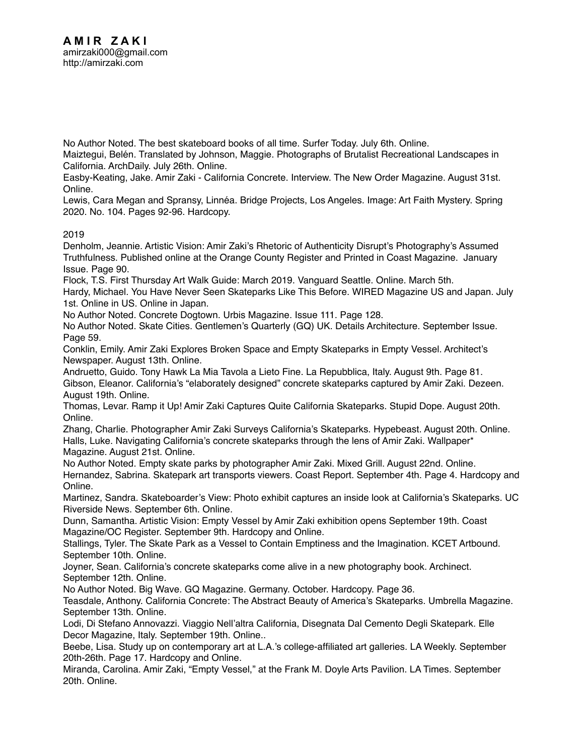[No Author Noted. The best skateboard books of all time. Surfer Today. July 6th.](http://amirzaki.net/cv/Bibliography_II-B71.pdf) [Online.](https://www.surfertoday.com/skateboarding/the-best-skateboard-books-of-all-time)

[Maiztegui, Belén. Translated by Johnson, Maggie. Photographs of Brutalist Recreational Landscapes in](http://amirzaki.net/cv/Bibliography_II-B72.pdf)  [California. ArchDaily. July 26th.](http://amirzaki.net/cv/Bibliography_II-B72.pdf) [Online.](https://www.archdaily.com/944061/skate-parks-photographs-of-brutalist-recreational-landscapes-in-california)

[Easby-Keating, Jake. Amir Zaki - California Concrete. Interview. The New Order Magazine. August 31st.](http://amirzaki.net/cv/Bibliography_II-B73.pdf)  [Online](http://thenewordermag.com/tno/amir-zaki).

[Lewis, Cara Megan and Spransy, Linnéa. Bridge Projects, Los Angeles. Image: Art Faith Mystery. Spring](http://amirzaki.net/cv/Bibliography_II-B74a.pdf)  [2020. No. 104. Pages 92-96. Hardcopy.](http://amirzaki.net/cv/Bibliography_II-B74a.pdf)

# 2019

[Denholm, Jeannie. Artistic Vision: Amir Zaki's Rhetoric of Authenticity Disrupt's Photography's Assumed](http://amirzaki.net/cv/Bibliography_II-B30.pdf)  [Truthfulness. Published online at the Orange County Register and Printed in Coast Magazine. January](http://amirzaki.net/cv/Bibliography_II-B30.pdf)  [Issue. Page 90.](http://amirzaki.net/cv/Bibliography_II-B30.pdf)

[Flock, T.S. First Thursday Art Walk Guide: March 2019. Vanguard Seattle. Online. March 5th.](http://amirzaki.net/cv/Bibliography_II-B31.pdf)

[Hardy, Michael. You Have Never Seen Skateparks Like This Before. WIRED Magazine US and Japan. July](http://amirzaki.net/cv/Bibliography_II-B32.pdf)  [1st.](http://amirzaki.net/cv/Bibliography_II-B32.pdf) [Online in US](https://www.wired.com/story/skatepark-photo-gallery/). [Online in Japan.](https://wired.jp/2019/07/27/skatepark-photo-gallery/)

[No Author Noted. Concrete Dogtown. Urbis Magazine. Issue 111. Page 128.](http://amirzaki.net/cv/Bibliography_II-B33.pdf)

[No Author Noted. Skate Cities. Gentlemen's Quarterly \(GQ\) UK. Details Architecture. September Issue.](http://amirzaki.net/cv/Bibliography_II-B34.pdf)  [Page 59.](http://amirzaki.net/cv/Bibliography_II-B34.pdf)

[Conklin, Emily. Amir Zaki Explores Broken Space and Empty Skateparks in Empty Vessel. Architect's](http://amirzaki.net/cv/Bibliography_II-B35.pdf)  [Newspaper. August 13th.](http://amirzaki.net/cv/Bibliography_II-B35.pdf) [Online](https://archpaper.com/2019/08/amir-zaki-broken-space-empty-skateparks-empty-vessel/#gallery-0-slide-0).

[Andruetto, Guido. Tony Hawk La Mia Tavola a Lieto Fine. La Repubblica, Italy. August 9th. Page 81.](http://amirzaki.net/cv/Bibliography_II-B36.pdf)  [Gibson, Eleanor. California's "elaborately designed" concrete skateparks captured by Amir Zaki. Dezeen.](http://amirzaki.net/cv/Bibliography_II-B37.pdf)  [August 19th.](http://amirzaki.net/cv/Bibliography_II-B37.pdf) [Online](https://www.dezeen.com/2019/08/19/california-concrete-a-landscape-of-skateparks-amir-zaki-merrell/).

[Thomas, Levar. Ramp it Up! Amir Zaki Captures Quite California Skateparks. Stupid Dope. August 20th.](http://amirzaki.net/cv/Bibliography_II-B38.pdf)  [Online](https://stupiddope.com/2019/08/20/ramp-it-up-amir-zaki-captures-quiet-california-skateparks/).

[Zhang, Charlie. Photographer Amir Zaki Surveys California's Skateparks. Hypebeast. August 20th.](http://amirzaki.net/cv/Bibliography_II-B39.pdf) [Online](https://hypebeast.com/2019/8/amir-zaki-california-skatepark-photography). [Halls, Luke. Navigating California's concrete skateparks through the lens of Amir Zaki. Wallpaper\\*](http://amirzaki.net/cv/Bibliography_II-B40.pdf)  [Magazine. August 21st](http://amirzaki.net/cv/Bibliography_II-B40.pdf). [Online.](https://www.wallpaper.com/architecture/california-concrete-skateparks-photography-book-amir-zaki)

[No Author Noted. Empty skate parks by photographer Amir Zaki. Mixed Grill. August 22nd.](http://amirzaki.net/cv/Bibliography_II-B41.pdf) [Online](https://www.mixedgrill.nl/lege-skateparken-amir-zaki/). [Hernandez, Sabrina. Skatepark art transports viewers. Coast Report. September 4th. Page 4. Hardcopy](http://amirzaki.net/cv/Bibliography_II-B42.pdf) and [Online](http://www.coastreportonline.com/arts_and_culture/article_adec2030-ce97-11e9-91b1-1f6f1f44031a.html).

[Martinez, Sandra. Skateboarder's View: Photo exhibit captures an inside look at California's Skateparks. UC](http://amirzaki.net/cv/Bibliography_II-B43.pdf)  [Riverside News. September 6th.](http://amirzaki.net/cv/Bibliography_II-B43.pdf) [Online](https://news.ucr.edu/articles/2019/09/06/skateboarders-view-photo-exhibit-captures-inside-look-californias-skate-parks).

[Dunn, Samantha. Artistic Vision: Empty Vessel by Amir Zaki exhibition opens September 19th. Coast](http://amirzaki.net/cv/Bibliography_II-B44.pdf)  [Magazine/OC Register. September 9th](http://amirzaki.net/cv/Bibliography_II-B44.pdf). Hardcopy and [Online.](https://www.ocregister.com/2019/09/09/artistic-vision-empty-vessel-by-amir-zaki-exhibition-opens-sept-19/)

[Stallings, Tyler. The Skate Park as a Vessel to Contain Emptiness and the Imagination. KCET Artbound.](http://amirzaki.net/cv/Bibliography_II-B45.pdf)  [September 10th](http://amirzaki.net/cv/Bibliography_II-B45.pdf). [Online.](https://www.kcet.org/shows/artbound/the-skate-park-as-a-vessel-to-contain-emptiness-and-the-imagination)

[Joyner, Sean. California's concrete skateparks come alive in a new photography book. Archinect.](http://amirzaki.net/cv/Bibliography_II-B46.pdf)  [September 12th](http://amirzaki.net/cv/Bibliography_II-B46.pdf). [Online.](https://archinect.com/news/article/150158830/california-s-concrete-skateparks-come-alive-in-a-new-photography-book)

[No Author Noted. Big Wave. GQ Magazine. Germany. October. Hardcopy. Page 36.](http://amirzaki.net/cv/Bibliography_II-B47.pdf)

[Teasdale, Anthony. California Concrete: The Abstract Beauty of America's Skateparks. Umbrella Magazine.](http://amirzaki.net/cv/Bibliography_II-B48.pdf)  [September 13th.](http://amirzaki.net/cv/Bibliography_II-B48.pdf) [Online.](http://www.umbrellamagazine.co.uk/architecture/672-california-concrete-the-abstract-beauty-of-americas-skateparks)

[Lodi, Di Stefano Annovazzi. Viaggio Nell'altra California, Disegnata Dal Cemento Degli Skatepark. Elle](http://amirzaki.net/cv/Bibliography_II-B49.pdf)  [Decor Magazine, Italy. September 19th.](http://amirzaki.net/cv/Bibliography_II-B49.pdf) [Online.](https://www.elledecor.com/it/lifestyle/a29098361/california-concrete-libro-amir-zaki-fotografie-skatepark/).

[Beebe, Lisa. Study up on contemporary art at L.A.'s college-affiliated art galleries. LA Weekly. September](http://amirzaki.net/cv/Bibliography_II-B50.pdf)  [20th-26th. Page 17. Hardcopy](http://amirzaki.net/cv/Bibliography_II-B50.pdf) and [Online.](https://www.laweekly.com/study-up-on-contemporary-art-at-l-a-s-college-affiliated-galleries/)

[Miranda, Carolina. Amir Zaki, "Empty Vessel," at the Frank M. Doyle Arts Pavilion. LA Times. September](http://amirzaki.net/cv/Bibliography_II-B51.pdf)  [20th.](http://amirzaki.net/cv/Bibliography_II-B51.pdf) [Online](https://www.latimes.com/entertainment-arts/story/2019-09-20/la-et-gabriela-ruiz-vincent-price-art-museum).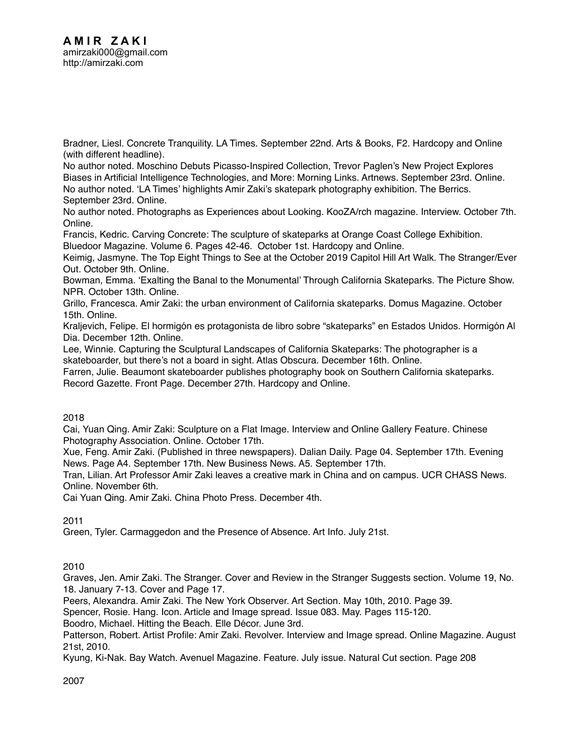[Bradner, Liesl. Concrete Tranquility. LA Times. September 22nd. Arts & Books, F2. Hardcopy](http://amirzaki.net/cv/Bibliography_II-B52.pdf) and [Online](https://www.latimes.com/entertainment-arts/story/2019-09-20/amir-zaki-skateboard-park-photographs)  [\(with different headline\).](https://www.latimes.com/entertainment-arts/story/2019-09-20/amir-zaki-skateboard-park-photographs)

No author noted. Moschino [Debuts Picasso-Inspired Collection, Trevor Paglen's New Project Explores](http://amirzaki.net/cv/Bibliography_II-B53.pdf)  [Biases in Artificial Intelligence Technologies, and More: Morning Links. Artnews. September 23rd.](http://amirzaki.net/cv/Bibliography_II-B53.pdf) [Online.](http://www.artnews.com/2019/09/23/moschino-collection-spring-2020-trevor-paglen-morning-links/) [No author noted. 'LA Times' highlights Amir Zaki's skatepark photography exhibition. The Berrics.](http://amirzaki.net/cv/Bibliography_II-B54.pdf)  [September 23rd.](http://amirzaki.net/cv/Bibliography_II-B54.pdf) [Online](https://theberrics.com/la-times-highlights-amir-zakis-skatepark-photograph-exhibition).

[No author noted. Photographs as Experiences about Looking. KooZA/rch magazine. Interview. October 7th.](http://amirzaki.net/cv/Bibliography_II-B55.pdf)  [Online](https://www.koozarch.com/interviews/photographs-as-experiences-about-looking/).

[Francis, Kedric. Carving Concrete: The sculpture of skateparks at Orange Coast College Exhibition.](http://amirzaki.net/cv/Bibliography_II-B56.pdf)  [Bluedoor Magazine. Volume 6. Pages 42-46. October 1st. Hardcopy](http://amirzaki.net/cv/Bibliography_II-B56.pdf) and [Online](https://issuu.com/bluedoormagazine/docs/bdm_volume6_2019).

[Keimig, Jasmyne. The Top Eight Things to See at the October 2019 Capitol Hill Art Walk. The Stranger/Ever](http://amirzaki.net/cv/Bibliography_II-B57.pdf)  [Out. October 9th.](http://amirzaki.net/cv/Bibliography_II-B57.pdf) [Online.](https://www.thestranger.com/things-to-do/2019/10/09/41640302/the-top-eight-things-to-see-at-the-october-2019-capitol-hill-art-walk)

[Bowman, Emma. 'Exalting the Banal to the Monumental' Through California Skateparks. The Picture Show.](http://amirzaki.net/cv/Bibliography_II-B58.pdf)  [NPR. October 13th.](http://amirzaki.net/cv/Bibliography_II-B58.pdf) [Online](https://www.npr.org/sections/pictureshow/2019/10/13/755562623/exalting-the-banal-to-the-monumental-through-california-skate-parks?utm_campaign=storyshare&utm_source=facebook.com&utm_medium=social).

[Grillo, Francesca. Amir Zaki: the urban environment of California skateparks. Domus Magazine. October](http://amirzaki.net/cv/Bibliography_II-B59.pdf)  [15th.](http://amirzaki.net/cv/Bibliography_II-B59.pdf) [Online](https://www.domusweb.it/en/art/gallery/2019/10/15/amir-zaki-the-urban-environment-of-californian-skateparks.html).

[Kraljevich, Felipe. El hormigón es protagonista de libro sobre "skateparks" en Estados Unidos. Hormigón Al](http://amirzaki.net/cv/Bibliography_II-B60.pdf)  [Dia. December 12th.](http://amirzaki.net/cv/Bibliography_II-B60.pdf) [Online.](https://hormigonaldia.ich.cl/arquitectura-y-urbanismo/el-hormigon-es-protagonista-de-libro-sobre-skateparks-en-estados-unidos/)

[Lee, Winnie. Capturing the Sculptural Landscapes of California Skateparks: The photographer is a](http://amirzaki.net/cv/Bibliography_II-B61.pdf)  [skateboarder, but there's not a board in sight. Atlas Obscura. December 16th.](http://amirzaki.net/cv/Bibliography_II-B61.pdf) [Online](https://www.atlasobscura.com/articles/photographs-california-skateparks).

[Farren, Julie. Beaumont skateboarder publishes photography book on Southern California skateparks.](http://amirzaki.net/cv/Bibliography_II-B62.pdf)  [Record Gazette. Front Page. December 27th. Hardcopy](http://amirzaki.net/cv/Bibliography_II-B62.pdf) and [Online.](https://www.recordgazette.net/arts_and_entertainment/beaumont-skateboarder-publishes-photography-book-on-southern-california-skateparks/article_a79d1f56-2831-11ea-b836-67de68532e27.html)

# 2018

[Cai, Yuan Qing. Amir Zaki: Sculpture on a Flat Image. Interview and Online Gallery Feature. Chinese](http://amirzaki.net/cv/Bibliography_II-B26.pdf)  [Photography Association. Online. October 17th.](http://amirzaki.net/cv/Bibliography_II-B26.pdf)

[Xue, Feng. Amir Zaki. \(Published in three newspapers\). Dalian Daily. Page 04. September 17th. Evening](http://amirzaki.net/cv/Bibliography_II-B27.pdf)  [News. Page A4. September 17th. New Business News. A5. September 17th.](http://amirzaki.net/cv/Bibliography_II-B27.pdf)

[Tran, Lilian. Art Professor Amir Zaki leaves a creative mark in China and on campus. UCR CHASS News.](http://amirzaki.net/cv/Bibliography_II-B28.pdf)  [Online. November 6th.](http://amirzaki.net/cv/Bibliography_II-B28.pdf)

[Cai Yuan Qing. Amir Zaki. China Photo Press. December 4th.](http://amirzaki.net/cv/Bibliography_II-B29.pdf) 

2011

[Green, Tyler. Carmaggedon and the Presence of Absence. Art Info. July 21st.](http://amirzaki.net/cv/Bibliography_II-B25.pdf)

# 2010

[Graves, Jen. Amir Zaki. The Stranger. Cover and Review in the Stranger Suggests section. Volume 19, No.](http://amirzaki.net/cv/Bibliography_II-B19.pdf)  [18. January 7-13. Cover and Page 17.](http://amirzaki.net/cv/Bibliography_II-B19.pdf)

[Peers, Alexandra. Amir Zaki. The New York Observer. Art Section. May 10th, 2010. Page 39.](http://amirzaki.net/cv/Bibliography_II-B20.pdf)

[Spencer, Rosie. Hang. Icon. Article and Image spread. Issue 083. May. Pages 115-120.](http://amirzaki.net/cv/Bib_II-B21.pdf)

[Boodro, Michael. Hitting the Beach. Elle Décor. June 3rd.](http://amirzaki.net/cv/Bibliography_II-B22.pdf)

[Patterson, Robert. Artist Profile: Amir Zaki. Revolver. Interview and Image spread. Online Magazine. August](http://amirzaki.net/cv/Bibliography_II-B23.pdf)  [21st, 2010.](http://amirzaki.net/cv/Bibliography_II-B23.pdf)

[Kyung, Ki-Nak. Bay Watch. Avenuel Magazine. Feature. July issue. Natural Cut section. Page 208](http://amirzaki.net/cv/Bibliography_II-B24.pdf)

2007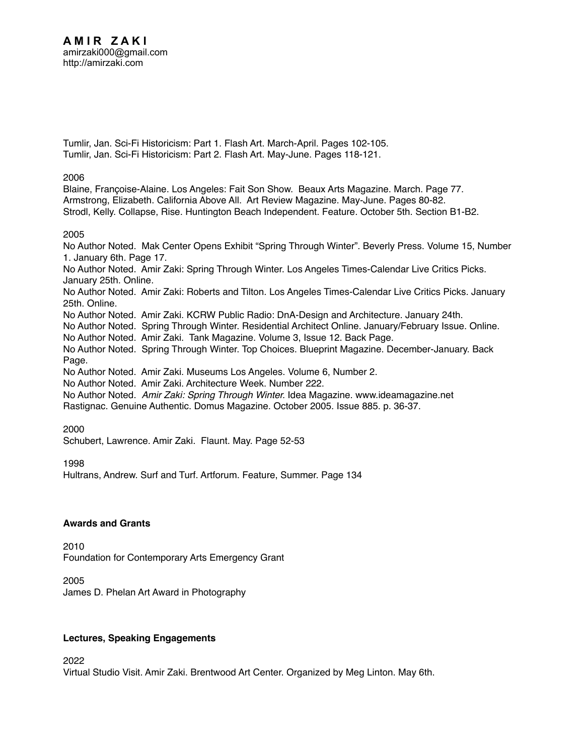[Tumlir, Jan. Sci-Fi Historicism: Part 1. Flash Art. March-April. Pages 102-105.](http://amirzaki.net/cv/Bibliography_II-B17.pdf) [Tumlir, Jan. Sci-Fi Historicism: Part 2. Flash Art. May-June. Pages 118-121.](http://amirzaki.net/cv/Bibliography_II-B18.pdf)

2006

[Blaine, Françoise-Alaine. Los Angeles: Fait Son Show. Beaux Arts Magazine. March. Page 77.](http://amirzaki.net/cv/Bibliography_II-B14.pdf) [Armstrong, Elizabeth. California Above All. Art Review Magazine. May-June. Pages 80-82.](http://amirzaki.net/cv/Bibliography_II-B15.pdf) [Strodl, Kelly. Collapse, Rise. Huntington Beach Independent. Feature. October 5th. Section B1-B2.](http://amirzaki.net/cv/Bibliography_II-B16.pdf)

2005

[No Author Noted. Mak Center Opens Exhibit "Spring Through Winter". Beverly Press. Volume 15, Number](http://amirzaki.net/cv/Bibliography_II-B3.pdf)  [1. January 6th. Page 17.](http://amirzaki.net/cv/Bibliography_II-B3.pdf) [No Author Noted. Amir Zaki: Spring Through Winter. Los Angeles Times-Calendar Live Critics Picks.](http://amirzaki.net/cv/Bibliography_II-B4.pdf)  [January 25th. Online.](http://amirzaki.net/cv/Bibliography_II-B4.pdf)

[No Author Noted. Amir Zaki: Roberts and Tilton. Los Angeles Times-Calendar Live Critics Picks. January](http://amirzaki.net/cv/Bibliography_II-B5.pdf)  [25th. Online.](http://amirzaki.net/cv/Bibliography_II-B5.pdf)

[No Author Noted. Amir Zaki. KCRW Public Radio: DnA-Design and Architecture. January 24th.](http://amirzaki.net/cv/zaki-kcrw.wav)

[No Author Noted. Spring Through Winter. Residential Architect Online. January/February Issue. Online.](http://amirzaki.net/cv/Bibliography_II-B7.pdf)

[No Author Noted. Amir Zaki. Tank Magazine. Volume 3, Issue 12. Back Page.](http://amirzaki.net/cv/Bibliography_II-B8.pdf)

[No Author Noted. Spring Through Winter. Top Choices. Blueprint Magazine. December-January. Back](http://amirzaki.net/cv/Bibliography_II-B9.pdf)  [Page.](http://amirzaki.net/cv/Bibliography_II-B9.pdf)

[No Author Noted. Amir Zaki. Museums Los Angeles. Volume 6, Number 2.](http://amirzaki.net/cv/Bibliography_II-B10.pdf)

[No Author Noted. Amir Zaki. Architecture Week. Number 222.](http://amirzaki.net/cv/Bibliography_II-B11.pdf)

No Author Noted. *Amir Zaki: Spring Through Winter.* Idea Magazine. www.ideamagazine.net [Rastignac. Genuine Authentic. Domus Magazine. October 2005. Issue 885. p. 36-37.](http://amirzaki.net/cv/Bibliography_II-B13.pdf)

2000

[Schubert, Lawrence. Amir Zaki. Flaunt. May. Page 52-53](http://amirzaki.net/cv/Bibliography_II-B2.pdf)

1998

[Hultrans, Andrew. Surf and Turf. Artforum. Feature, Summer. Page 134](http://amirzaki.net/cv/Bibliography_II-B1.pdf)

# **Awards and Grants**

2010 Foundation for Contemporary Arts Emergency Grant

2005 [James D. Phelan Art Award in Photography](http://amirzaki.net/cv/bibB23.pdf)

# **Lectures, Speaking Engagements**

2022

[Virtual Studio Visit. Amir Zaki. Brentwood Art Center. Organized by Meg Linton. May 6th.](https://youtu.be/ygG4vY_uqB0)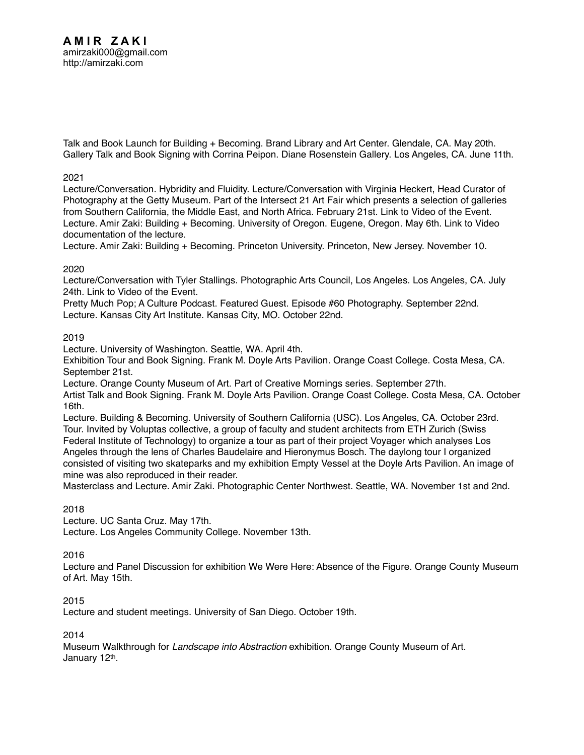[Talk and Book Launch for Building + Becoming. Brand Library and Art Center. Glendale, CA. May 20th.](http://amirzaki.net/cv/Brand%20Library_Book%20Launch.pdf) [Gallery Talk and Book Signing with Corrina Peipon. Diane Rosenstein Gallery. Los Angeles, CA. June 11th.](https://youtu.be/_SO6wtL0chA)

## 2021

[Lecture/Conversation. Hybridity and Fluidity. Lecture/Conversation with Virginia Heckert, Head Curator of](http://amirzaki.net/cv/Intersect21_Virginia%20Heckert.pdf)  [Photography at the Getty Museum. Part of the Intersect 21 Art Fair which presents a selection of galleries](http://amirzaki.net/cv/Intersect21_Virginia%20Heckert.pdf)  [from Southern California, the Middle East, and North Africa. February 21st.](http://amirzaki.net/cv/Intersect21_Virginia%20Heckert.pdf) [Link to Video of the Event.](https://www.intersect2021.com/sunday-february-21) [Lecture. Amir Zaki: Building + Becoming. University of Oregon. Eugene, Oregon. May 6th.](http://amirzaki.net/cv/University%20of%20Oregon_May%202021.pdf) [Link to Video](https://www.youtube.com/watch?v=X3-aBB4x-BY)  [documentation of the lecture.](https://www.youtube.com/watch?v=X3-aBB4x-BY)

Lecture. Amir Zaki: Building + Becoming. Princeton University. Princeton, New Jersey. November 10.

# 2020

[Lecture/Conversation with Tyler Stallings. Photographic Arts Council, Los Angeles. Los Angeles, CA. July](http://amirzaki.net/cv/PACLA2020.pdf)  [24th.](http://amirzaki.net/cv/PACLA2020.pdf) [Link to Video of the Event.](https://paclosangeles.com/events/2020/7/24/amir-zaki-empty-vessel)

[Pretty Much Pop; A Culture Podcast. Featured Guest. Episode #60 Photography. September 22nd.](http://prettymuchpop.com/2020/09/24/pmp61-photography/)  [Lecture. Kansas City Art Institute. Kansas City, MO. October 22nd.](http://amirzaki.net/cv/KCAI2020.pdf) 

## 2019

[Lecture. University of Washington. Seattle, WA. April 4th.](http://amirzaki.net/cv/UW_2019.pdf) 

[Exhibition Tour and Book Signing. Frank M. Doyle Arts Pavilion. Orange Coast College. Costa Mesa, CA.](http://amirzaki.net/cv/Doyle.pdf)  [September 21st.](http://amirzaki.net/cv/Doyle.pdf) 

[Lecture. Orange County Museum of Art. Part of Creative Mornings series. September 27th.](http://amirzaki.net/cv/OCMA_Creative%20Mornings.pdf)

[Artist Talk and Book Signing. Frank M. Doyle Arts Pavilion. Orange Coast College. Costa Mesa, CA. October](http://amirzaki.net/cv/Doyle.pdf)  [16th.](http://amirzaki.net/cv/Doyle.pdf)

[Lecture. Building & Becoming. University of Southern California \(USC\). Los Angeles, CA. October 23rd.](http://amirzaki.net/cv/USC2019.pdf)  [Tour. Invited by Voluptas collective, a group of faculty and student architects from ETH Zurich \(Swiss](http://amirzaki.net/cv/voluptas%20reader2019.pdf)  [Federal Institute of Technology\) to organize a tour as part of their project Voyager which analyses Los](http://amirzaki.net/cv/voluptas%20reader2019.pdf)  [Angeles through the lens of Charles Baudelaire and Hieronymus Bosch. The daylong tour I organized](http://amirzaki.net/cv/voluptas%20reader2019.pdf)  [consisted of visiting two skateparks and my exhibition Empty Vessel at the Doyle Arts Pavilion. An image of](http://amirzaki.net/cv/voluptas%20reader2019.pdf)  [mine was also reproduced in their reader.](http://amirzaki.net/cv/voluptas%20reader2019.pdf)

[Masterclass and Lecture. Amir Zaki. Photographic Center Northwest. Seattle, WA. November 1st and 2nd.](http://amirzaki.net/cv/PCNW2019.pdf) 

# 2018

[Lecture. UC Santa Cruz. May 17th.](http://amirzaki.net/cv/UCSC%20lecture%20flyer.pdf) [Lecture. Los Angeles Community College. November 13th.](http://amirzaki.net/cv/LACC%20lecture.pdf) 

#### 2016

[Lecture and Panel Discussion for exhibition We Were Here: Absence of the Figure. Orange County Museum](http://amirzaki.net/cv/We-Were-Here_OCMA.pdf)  [of Art. May 15th.](http://amirzaki.net/cv/We-Were-Here_OCMA.pdf)

#### 2015

[Lecture and student meetings. University of San Diego. October 19th.](https://www.facebook.com/events/914973591883156/) 

2014

Museum Walkthrough for *Landscape into Abstraction* exhibition. Orange County Museum of Art. January 12th.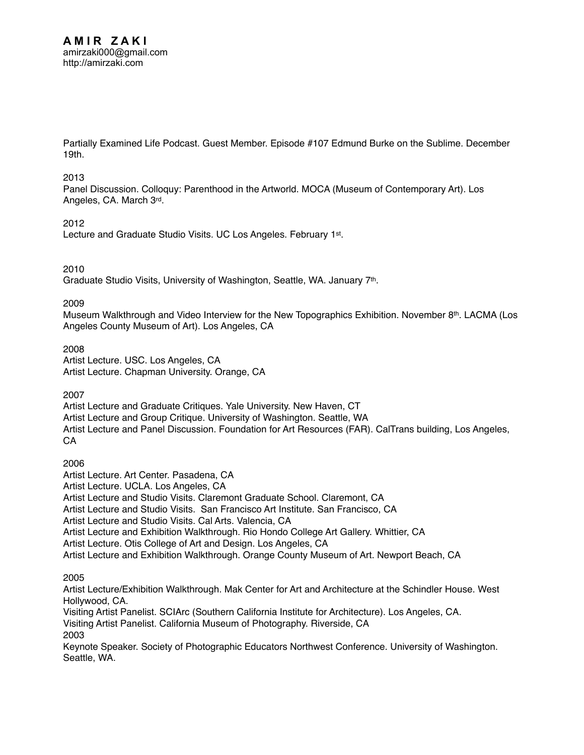[Partially Examined Life Podcast. Guest Member. Episode #107 Edmund Burke on the Sublime. December](http://partiallyexaminedlife.com/2014/12/19/episode-107-edmund-burke-on-the-sublime/)  [19th.](http://partiallyexaminedlife.com/2014/12/19/episode-107-edmund-burke-on-the-sublime/)

#### 2013

Panel Discussion. Colloquy: Parenthood in the Artworld. MOCA (Museum of Contemporary Art). Los Angeles, CA. March 3rd.

#### 2012

Lecture and Graduate Studio Visits. UC Los Angeles. February 1st.

#### 2010

Graduate Studio Visits, University of Washington, Seattle, WA. January 7th.

2009

Museum Walkthrough and Video Interview for the New Topographics Exhibition. November 8<sup>th</sup>. LACMA (Los Angeles County Museum of Art). Los Angeles, CA

2008 Artist Lecture. USC. Los Angeles, CA

Artist Lecture. Chapman University. Orange, CA

2007

Artist Lecture and Graduate Critiques. Yale University. New Haven, CT Artist Lecture and Group Critique. University of Washington. Seattle, WA Artist Lecture and Panel Discussion. Foundation for Art Resources (FAR). CalTrans building, Los Angeles, CA

2006

Artist Lecture. Art Center. Pasadena, CA Artist Lecture. UCLA. Los Angeles, CA Artist Lecture and Studio Visits. Claremont Graduate School. Claremont, CA Artist Lecture and Studio Visits. San Francisco Art Institute. San Francisco, CA Artist Lecture and Studio Visits. Cal Arts. Valencia, CA Artist Lecture and Exhibition Walkthrough. Rio Hondo College Art Gallery. Whittier, CA Artist Lecture. Otis College of Art and Design. Los Angeles, CA Artist Lecture and Exhibition Walkthrough. Orange County Museum of Art. Newport Beach, CA

2005

Artist Lecture/Exhibition Walkthrough. Mak Center for Art and Architecture at the Schindler House. West Hollywood, CA.

Visiting Artist Panelist. SCIArc (Southern California Institute for Architecture). Los Angeles, CA. Visiting Artist Panelist. California Museum of Photography. Riverside, CA 2003 Keynote Speaker. Society of Photographic Educators Northwest Conference. University of Washington.

Seattle, WA.